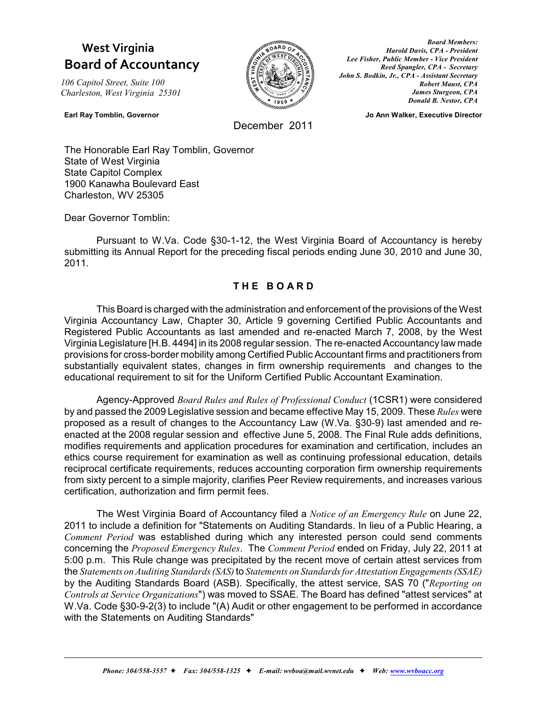# **West Virginia Board of Accountancy**

*106 Capitol Street, Suite 100 Charleston, West Virginia 25301*



*Board Members: Harold Davis, CPA - President Lee Fisher, Public Member - Vice President Reed Spangler, CPA - Secretary John S. Bodkin, Jr., CPA - Assistant Secretary Robert Maust, CPA James Sturgeon, CPA Donald B. Nestor, CPA*

**Earl Ray Tomblin, Governor Compared Ann Walker, Ann Walker, Executive Director** 

December 2011

The Honorable Earl Ray Tomblin, Governor State of West Virginia State Capitol Complex 1900 Kanawha Boulevard East Charleston, WV 25305

Dear Governor Tomblin:

Pursuant to W.Va. Code §30-1-12, the West Virginia Board of Accountancy is hereby submitting its Annual Report for the preceding fiscal periods ending June 30, 2010 and June 30, 2011.

## **T H E B O A R D**

This Board is charged with the administration and enforcement of the provisions of the West Virginia Accountancy Law, Chapter 30, Article 9 governing Certified Public Accountants and Registered Public Accountants as last amended and re-enacted March 7, 2008, by the West Virginia Legislature [H.B. 4494] in its 2008 regular session. The re-enacted Accountancy law made provisions for cross-border mobility among Certified Public Accountant firms and practitioners from substantially equivalent states, changes in firm ownership requirements and changes to the educational requirement to sit for the Uniform Certified Public Accountant Examination.

Agency-Approved *Board Rules and Rules of Professional Conduct* (1CSR1) were considered by and passed the 2009 Legislative session and became effective May 15, 2009. These *Rules* were proposed as a result of changes to the Accountancy Law (W.Va. §30-9) last amended and reenacted at the 2008 regular session and effective June 5, 2008. The Final Rule adds definitions, modifies requirements and application procedures for examination and certification, includes an ethics course requirement for examination as well as continuing professional education, details reciprocal certificate requirements, reduces accounting corporation firm ownership requirements from sixty percent to a simple majority, clarifies Peer Review requirements, and increases various certification, authorization and firm permit fees.

The West Virginia Board of Accountancy filed a *Notice of an Emergency Rule* on June 22, 2011 to include a definition for "Statements on Auditing Standards. In lieu of a Public Hearing, a *Comment Period* was established during which any interested person could send comments concerning the *Proposed Emergency Rules*. The *Comment Period* ended on Friday, July 22, 2011 at 5:00 p.m. This Rule change was precipitated by the recent move of certain attest services from the *Statements on Auditing Standards (SAS)*to *Statements on Standards for Attestation Engagements(SSAE)* by the Auditing Standards Board (ASB). Specifically, the attest service, SAS 70 ("*Reporting on Controls at Service Organizations*") was moved to SSAE. The Board has defined "attest services" at W.Va. Code §30-9-2(3) to include "(A) Audit or other engagement to be performed in accordance with the Statements on Auditing Standards"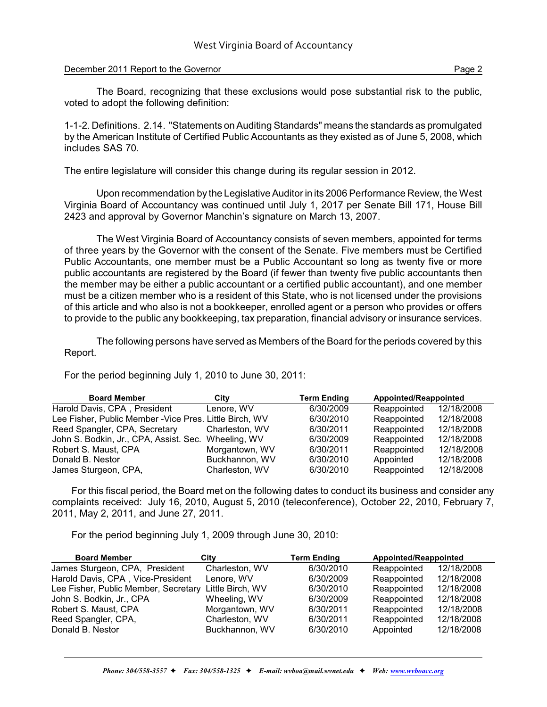## December 2011 Report to the Governor **Page 2** and Page 2

The Board, recognizing that these exclusions would pose substantial risk to the public, voted to adopt the following definition:

1-1-2. Definitions. 2.14. "Statements on Auditing Standards" means the standards as promulgated by the American Institute of Certified Public Accountants as they existed as of June 5, 2008, which includes SAS 70.

The entire legislature will consider this change during its regular session in 2012.

Upon recommendation by the Legislative Auditor in its 2006 Performance Review, the West Virginia Board of Accountancy was continued until July 1, 2017 per Senate Bill 171, House Bill 2423 and approval by Governor Manchin's signature on March 13, 2007.

The West Virginia Board of Accountancy consists of seven members, appointed for terms of three years by the Governor with the consent of the Senate. Five members must be Certified Public Accountants, one member must be a Public Accountant so long as twenty five or more public accountants are registered by the Board (if fewer than twenty five public accountants then the member may be either a public accountant or a certified public accountant), and one member must be a citizen member who is a resident of this State, who is not licensed under the provisions of this article and who also is not a bookkeeper, enrolled agent or a person who provides or offers to provide to the public any bookkeeping, tax preparation, financial advisory or insurance services.

The following persons have served as Members of the Board for the periods covered by this Report.

For the period beginning July 1, 2010 to June 30, 2011:

| <b>Board Member</b>                                     | City           | <b>Term Ending</b> | Appointed/Reappointed |            |  |  |  |
|---------------------------------------------------------|----------------|--------------------|-----------------------|------------|--|--|--|
| Harold Davis, CPA, President                            | Lenore, WV     | 6/30/2009          | Reappointed           | 12/18/2008 |  |  |  |
| Lee Fisher, Public Member - Vice Pres. Little Birch, WV |                | 6/30/2010          | Reappointed           | 12/18/2008 |  |  |  |
| Reed Spangler, CPA, Secretary                           | Charleston, WV | 6/30/2011          | Reappointed           | 12/18/2008 |  |  |  |
| John S. Bodkin, Jr., CPA, Assist. Sec. Wheeling, WV     |                | 6/30/2009          | Reappointed           | 12/18/2008 |  |  |  |
| Robert S. Maust, CPA                                    | Morgantown, WV | 6/30/2011          | Reappointed           | 12/18/2008 |  |  |  |
| Donald B. Nestor                                        | Buckhannon, WV | 6/30/2010          | Appointed             | 12/18/2008 |  |  |  |
| James Sturgeon, CPA,                                    | Charleston, WV | 6/30/2010          | Reappointed           | 12/18/2008 |  |  |  |

For this fiscal period, the Board met on the following dates to conduct its business and consider any complaints received: July 16, 2010, August 5, 2010 (teleconference), October 22, 2010, February 7, 2011, May 2, 2011, and June 27, 2011.

For the period beginning July 1, 2009 through June 30, 2010:

| <b>Board Member</b>                  | City             | <b>Term Ending</b> | Appointed/Reappointed |            |  |  |
|--------------------------------------|------------------|--------------------|-----------------------|------------|--|--|
| James Sturgeon, CPA, President       | Charleston, WV   | 6/30/2010          | Reappointed           | 12/18/2008 |  |  |
| Harold Davis, CPA, Vice-President    | Lenore, WV       | 6/30/2009          | Reappointed           | 12/18/2008 |  |  |
| Lee Fisher, Public Member, Secretary | Little Birch, WV | 6/30/2010          | Reappointed           | 12/18/2008 |  |  |
| John S. Bodkin, Jr., CPA             | Wheeling, WV     | 6/30/2009          | Reappointed           | 12/18/2008 |  |  |
| Robert S. Maust, CPA                 | Morgantown, WV   | 6/30/2011          | Reappointed           | 12/18/2008 |  |  |
| Reed Spangler, CPA,                  | Charleston, WV   | 6/30/2011          | Reappointed           | 12/18/2008 |  |  |
| Donald B. Nestor                     | Buckhannon, WV   | 6/30/2010          | Appointed             | 12/18/2008 |  |  |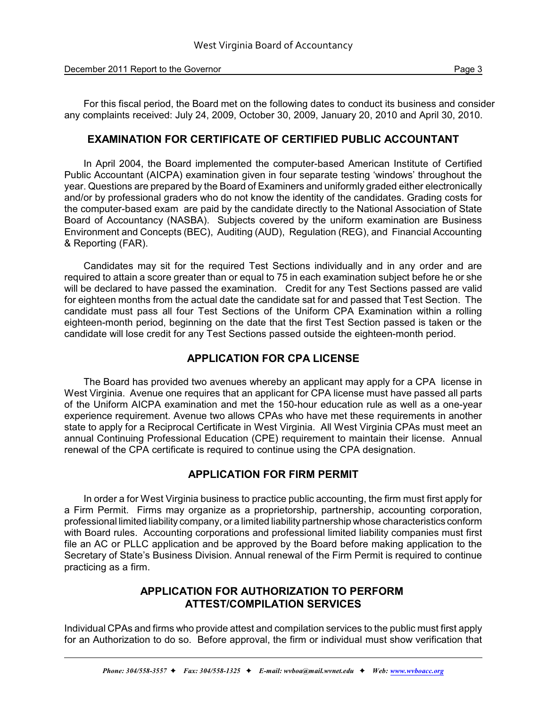December 2011 Report to the Governor **Page 3** and 2012 **Page 3** and 2012 **Page 3** and 2013

For this fiscal period, the Board met on the following dates to conduct its business and consider any complaints received: July 24, 2009, October 30, 2009, January 20, 2010 and April 30, 2010.

## **EXAMINATION FOR CERTIFICATE OF CERTIFIED PUBLIC ACCOUNTANT**

In April 2004, the Board implemented the computer-based American Institute of Certified Public Accountant (AICPA) examination given in four separate testing 'windows' throughout the year. Questions are prepared by the Board of Examiners and uniformly graded either electronically and/or by professional graders who do not know the identity of the candidates. Grading costs for the computer-based exam are paid by the candidate directly to the National Association of State Board of Accountancy (NASBA). Subjects covered by the uniform examination are Business Environment and Concepts (BEC), Auditing (AUD), Regulation (REG), and Financial Accounting & Reporting (FAR).

Candidates may sit for the required Test Sections individually and in any order and are required to attain a score greater than or equal to 75 in each examination subject before he or she will be declared to have passed the examination. Credit for any Test Sections passed are valid for eighteen months from the actual date the candidate sat for and passed that Test Section. The candidate must pass all four Test Sections of the Uniform CPA Examination within a rolling eighteen-month period, beginning on the date that the first Test Section passed is taken or the candidate will lose credit for any Test Sections passed outside the eighteen-month period.

## **APPLICATION FOR CPA LICENSE**

The Board has provided two avenues whereby an applicant may apply for a CPA license in West Virginia. Avenue one requires that an applicant for CPA license must have passed all parts of the Uniform AICPA examination and met the 150-hour education rule as well as a one-year experience requirement. Avenue two allows CPAs who have met these requirements in another state to apply for a Reciprocal Certificate in West Virginia. All West Virginia CPAs must meet an annual Continuing Professional Education (CPE) requirement to maintain their license. Annual renewal of the CPA certificate is required to continue using the CPA designation.

## **APPLICATION FOR FIRM PERMIT**

In order a for West Virginia business to practice public accounting, the firm must first apply for a Firm Permit. Firms may organize as a proprietorship, partnership, accounting corporation, professional limited liability company, or a limited liability partnership whose characteristics conform with Board rules. Accounting corporations and professional limited liability companies must first file an AC or PLLC application and be approved by the Board before making application to the Secretary of State's Business Division. Annual renewal of the Firm Permit is required to continue practicing as a firm.

## **APPLICATION FOR AUTHORIZATION TO PERFORM ATTEST/COMPILATION SERVICES**

Individual CPAs and firms who provide attest and compilation services to the public must first apply for an Authorization to do so. Before approval, the firm or individual must show verification that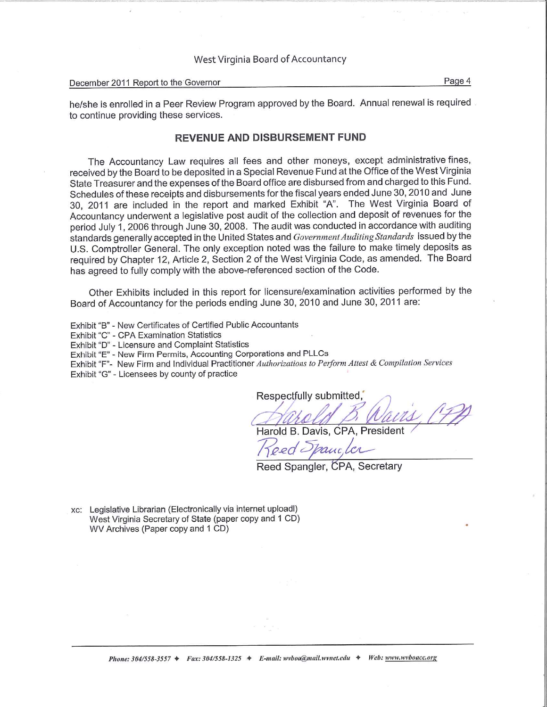## West Virginia Board of Accountancy

#### December 2011 Report to the Governor

Page 4

he/she is enrolled in a Peer Review Program approved by the Board. Annual renewal is required to continue providing these services.

## **REVENUE AND DISBURSEMENT FUND**

The Accountancy Law requires all fees and other moneys, except administrative fines, received by the Board to be deposited in a Special Revenue Fund at the Office of the West Virginia State Treasurer and the expenses of the Board office are disbursed from and charged to this Fund. Schedules of these receipts and disbursements for the fiscal years ended June 30, 2010 and June 30, 2011 are included in the report and marked Exhibit "A". The West Virginia Board of Accountancy underwent a legislative post audit of the collection and deposit of revenues for the period July 1, 2006 through June 30, 2008. The audit was conducted in accordance with auditing standards generally accepted in the United States and Government Auditing Standards issued by the U.S. Comptroller General. The only exception noted was the failure to make timely deposits as required by Chapter 12, Article 2, Section 2 of the West Virginia Code, as amended. The Board has agreed to fully comply with the above-referenced section of the Code.

Other Exhibits included in this report for licensure/examination activities performed by the Board of Accountancy for the periods ending June 30, 2010 and June 30, 2011 are:

- Exhibit "B" New Certificates of Certified Public Accountants
- Exhibit "C" CPA Examination Statistics
- Exhibit "D" Licensure and Complaint Statistics
- Exhibit "E" New Firm Permits, Accounting Corporations and PLLCs
- Exhibit "F"- New Firm and Individual Practitioner Authorizations to Perform Attest & Compilation Services
- Exhibit "G" Licensees by county of practice

Respectfully submitted,

Harold B. Davis, CPA, President

oed Spancler

Reed Spangler, CPA, Secretary

xc: Legislative Librarian (Electronically via internet uploadl) West Virginia Secretary of State (paper copy and 1 CD) WV Archives (Paper copy and 1 CD)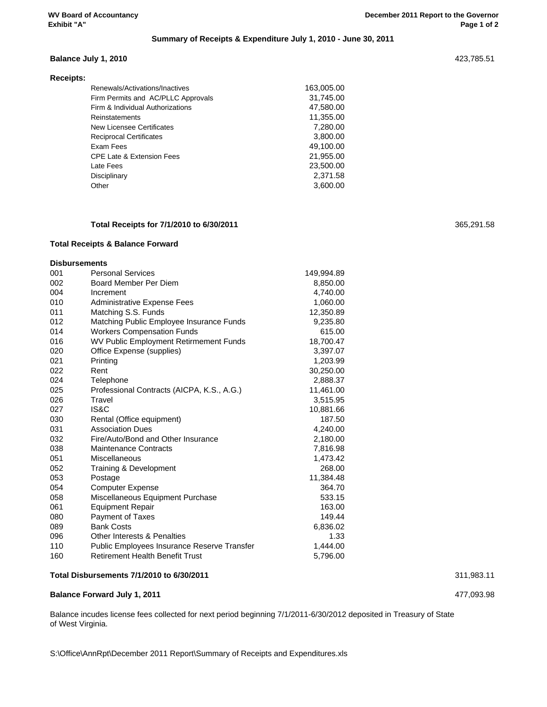## **Summary of Receipts & Expenditure July 1, 2010 - June 30, 2011**

Renewals/Activations/Inactives 163,005.00 31,745.00

#### **Balance July 1, 2010** 423,785.51

| Receipts: |                                    |
|-----------|------------------------------------|
|           | Renewals/Activations/Inactives     |
|           | Firm Permits and AC/PLLC Approvals |
|           | Firm & Individual Authorizations   |
|           |                                    |

| Firm & Individual Authorizations     | 47,580.00 |
|--------------------------------------|-----------|
| Reinstatements                       | 11,355.00 |
| New Licensee Certificates            | 7.280.00  |
| <b>Reciprocal Certificates</b>       | 3,800.00  |
| Exam Fees                            | 49.100.00 |
| <b>CPE Late &amp; Extension Fees</b> | 21.955.00 |
| Late Fees                            | 23,500.00 |
| Disciplinary                         | 2,371.58  |
| Other                                | 3,600.00  |
|                                      |           |

#### **Total Receipts for 7/1/2010 to 6/30/2011** 365,291.58

#### **Total Receipts & Balance Forward**

#### **Disbursements**

| 001 | <b>Personal Services</b>                           | 149,994.89 |
|-----|----------------------------------------------------|------------|
| 002 | Board Member Per Diem                              | 8,850.00   |
| 004 | Increment                                          | 4,740.00   |
| 010 | Administrative Expense Fees                        | 1,060.00   |
| 011 | Matching S.S. Funds                                | 12,350.89  |
| 012 | Matching Public Employee Insurance Funds           | 9,235.80   |
| 014 | <b>Workers Compensation Funds</b>                  | 615.00     |
| 016 | WV Public Employment Retirmement Funds             | 18,700.47  |
| 020 | Office Expense (supplies)                          | 3,397.07   |
| 021 | Printing                                           | 1,203.99   |
| 022 | Rent                                               | 30,250.00  |
| 024 | Telephone                                          | 2,888.37   |
| 025 | Professional Contracts (AICPA, K.S., A.G.)         | 11,461.00  |
| 026 | Travel                                             | 3,515.95   |
| 027 | IS&C                                               | 10,881.66  |
| 030 | Rental (Office equipment)                          | 187.50     |
| 031 | <b>Association Dues</b>                            | 4,240.00   |
| 032 | Fire/Auto/Bond and Other Insurance                 | 2,180.00   |
| 038 | <b>Maintenance Contracts</b>                       | 7,816.98   |
| 051 | <b>Miscellaneous</b>                               | 1,473.42   |
| 052 | Training & Development                             | 268.00     |
| 053 | Postage                                            | 11,384.48  |
| 054 | <b>Computer Expense</b>                            | 364.70     |
| 058 | Miscellaneous Equipment Purchase                   | 533.15     |
| 061 | <b>Equipment Repair</b>                            | 163.00     |
| 080 | Payment of Taxes                                   | 149.44     |
| 089 | <b>Bank Costs</b>                                  | 6,836.02   |
| 096 | Other Interests & Penalties                        | 1.33       |
| 110 | <b>Public Employees Insurance Reserve Transfer</b> | 1,444.00   |
| 160 | <b>Retirement Health Benefit Trust</b>             | 5,796.00   |

#### **Total Disbursements 7/1/2010 to 6/30/2011** 311,983.11

#### **Balance Forward July 1, 2011** 477,093.98

Balance incudes license fees collected for next period beginning 7/1/2011-6/30/2012 deposited in Treasury of State of West Virginia.

S:\Office\AnnRpt\December 2011 Report\Summary of Receipts and Expenditures.xls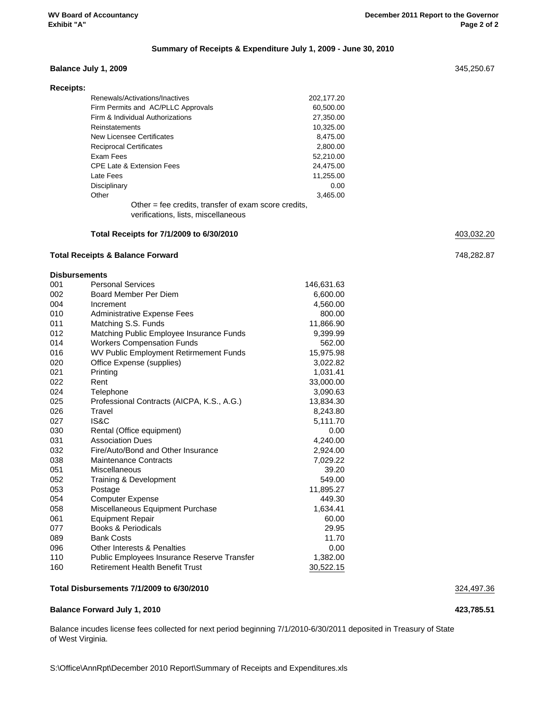#### **Summary of Receipts & Expenditure July 1, 2009 - June 30, 2010**

#### **Balance July 1, 2009** 345,250.67

| <b>Receipts:</b> |                                                                                             |            |
|------------------|---------------------------------------------------------------------------------------------|------------|
|                  | Renewals/Activations/Inactives                                                              | 202,177.20 |
|                  | Firm Permits and AC/PLLC Approvals                                                          | 60,500.00  |
|                  | Firm & Individual Authorizations                                                            | 27,350.00  |
|                  | Reinstatements                                                                              | 10,325.00  |
|                  | New Licensee Certificates                                                                   | 8,475.00   |
|                  | <b>Reciprocal Certificates</b>                                                              | 2,800.00   |
|                  | Exam Fees                                                                                   | 52,210.00  |
|                  | <b>CPE Late &amp; Extension Fees</b>                                                        | 24,475.00  |
|                  | Late Fees                                                                                   | 11,255.00  |
|                  | Disciplinary                                                                                | 0.00       |
|                  | Other                                                                                       | 3,465.00   |
|                  | Other = fee credits, transfer of exam score credits,<br>verifications, lists, miscellaneous |            |

#### **Total Receipts for 7/1/2009 to 6/30/2010** 403,032.20

#### **Total Receipts & Balance Forward** 748,282.87

## **Disbursements**

| 001 | <b>Personal Services</b>                    | 146,631.63 |
|-----|---------------------------------------------|------------|
| 002 | Board Member Per Diem                       | 6,600.00   |
| 004 | Increment                                   | 4,560.00   |
| 010 | Administrative Expense Fees                 | 800.00     |
| 011 | Matching S.S. Funds                         | 11,866.90  |
| 012 | Matching Public Employee Insurance Funds    | 9,399.99   |
| 014 | <b>Workers Compensation Funds</b>           | 562.00     |
| 016 | WV Public Employment Retirmement Funds      | 15,975.98  |
| 020 | Office Expense (supplies)                   | 3,022.82   |
| 021 | Printing                                    | 1,031.41   |
| 022 | Rent                                        | 33,000.00  |
| 024 | Telephone                                   | 3,090.63   |
| 025 | Professional Contracts (AICPA, K.S., A.G.)  | 13,834.30  |
| 026 | Travel                                      | 8,243.80   |
| 027 | IS&C                                        | 5,111.70   |
| 030 | Rental (Office equipment)                   | 0.00       |
| 031 | <b>Association Dues</b>                     | 4,240.00   |
| 032 | Fire/Auto/Bond and Other Insurance          | 2,924.00   |
| 038 | <b>Maintenance Contracts</b>                | 7,029.22   |
| 051 | Miscellaneous                               | 39.20      |
| 052 | Training & Development                      | 549.00     |
| 053 | Postage                                     | 11,895.27  |
| 054 | <b>Computer Expense</b>                     | 449.30     |
| 058 | Miscellaneous Equipment Purchase            | 1,634.41   |
| 061 | <b>Equipment Repair</b>                     | 60.00      |
| 077 | <b>Books &amp; Periodicals</b>              | 29.95      |
| 089 | <b>Bank Costs</b>                           | 11.70      |
| 096 | <b>Other Interests &amp; Penalties</b>      | 0.00       |
| 110 | Public Employees Insurance Reserve Transfer | 1,382.00   |
| 160 | <b>Retirement Health Benefit Trust</b>      | 30,522.15  |

#### **Total Disbursements 7/1/2009 to 6/30/2010** 324,497.36

#### **Balance Forward July 1, 2010 423,785.51**

Balance incudes license fees collected for next period beginning 7/1/2010-6/30/2011 deposited in Treasury of State of West Virginia.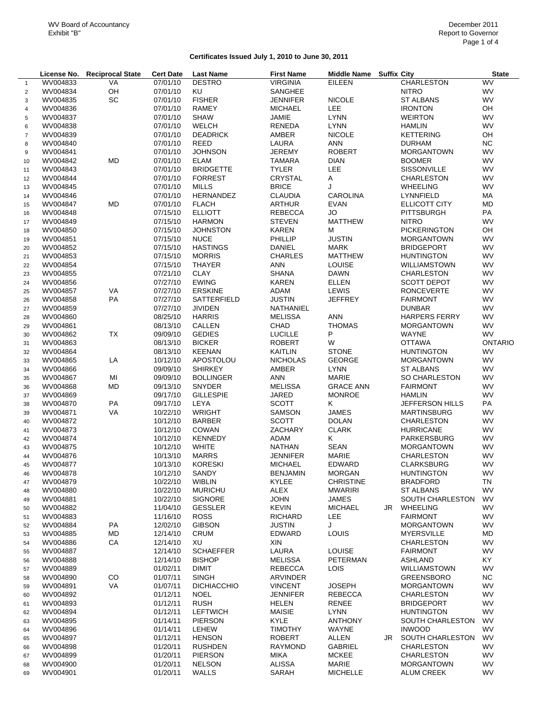#### **Certificates Issued July 1, 2010 to June 30, 2011**

|                |                      | License No. Reciprocal State | <b>Cert Date</b> | <b>Last Name</b>   | <b>First Name</b> | Middle Name Suffix City |    |                        | <b>State</b>   |
|----------------|----------------------|------------------------------|------------------|--------------------|-------------------|-------------------------|----|------------------------|----------------|
| $\mathbf{1}$   | WV004833             | VA                           | 07/01/10         | <b>DESTRO</b>      | <b>VIRGINIA</b>   | <b>EILEEN</b>           |    | CHARLESTON             | WV             |
| $\overline{c}$ | WV004834             | OH                           | 07/01/10         | KU                 | SANGHEE           |                         |    | <b>NITRO</b>           | <b>WV</b>      |
| 3              | WV004835             | SC                           | 07/01/10         | <b>FISHER</b>      | <b>JENNIFER</b>   | <b>NICOLE</b>           |    | <b>ST ALBANS</b>       | <b>WV</b>      |
| 4              | WV004836             |                              | 07/01/10         | <b>RAMEY</b>       | <b>MICHAEL</b>    | LEE                     |    | <b>IRONTON</b>         | OH             |
| 5              | WV004837             |                              | 07/01/10         | <b>SHAW</b>        | <b>JAMIE</b>      | <b>LYNN</b>             |    | <b>WEIRTON</b>         | <b>WV</b>      |
| 6              | WV004838             |                              | 07/01/10         | <b>WELCH</b>       | RENEDA            | <b>LYNN</b>             |    | <b>HAMLIN</b>          | WV             |
| $\overline{7}$ | WV004839             |                              | 07/01/10         | <b>DEADRICK</b>    | AMBER             | <b>NICOLE</b>           |    | <b>KETTERING</b>       | OH             |
|                | WV004840             |                              | 07/01/10         | REED               | LAURA             | <b>ANN</b>              |    | <b>DURHAM</b>          | <b>NC</b>      |
| 8              |                      |                              | 07/01/10         | <b>JOHNSON</b>     |                   |                         |    |                        | <b>WV</b>      |
| 9              | WV004841             |                              |                  |                    | <b>JEREMY</b>     | <b>ROBERT</b>           |    | <b>MORGANTOWN</b>      |                |
| 10             | WV004842             | <b>MD</b>                    | 07/01/10         | <b>ELAM</b>        | <b>TAMARA</b>     | <b>DIAN</b>             |    | <b>BOOMER</b>          | WV             |
| 11             | WV004843             |                              | 07/01/10         | <b>BRIDGETTE</b>   | <b>TYLER</b>      | LEE                     |    | <b>SISSONVILLE</b>     | <b>WV</b>      |
| 12             | WV004844             |                              | 07/01/10         | <b>FORREST</b>     | CRYSTAL           | A                       |    | <b>CHARLESTON</b>      | <b>WV</b>      |
| 13             | WV004845             |                              | 07/01/10         | <b>MILLS</b>       | <b>BRICE</b>      | J                       |    | <b>WHEELING</b>        | <b>WV</b>      |
| 14             | WV004846             |                              | 07/01/10         | HERNANDEZ          | <b>CLAUDIA</b>    | <b>CAROLINA</b>         |    | LYNNFIELD              | MA             |
| 15             | WV004847             | <b>MD</b>                    | 07/01/10         | <b>FLACH</b>       | <b>ARTHUR</b>     | <b>EVAN</b>             |    | ELLICOTT CITY          | <b>MD</b>      |
| 16             | WV004848             |                              | 07/15/10         | <b>ELLIOTT</b>     | <b>REBECCA</b>    | <b>JO</b>               |    | PITTSBURGH             | PA             |
| 17             | WV004849             |                              | 07/15/10         | <b>HARMON</b>      | <b>STEVEN</b>     | <b>MATTHEW</b>          |    | <b>NITRO</b>           | WV             |
| 18             | WV004850             |                              | 07/15/10         | <b>JOHNSTON</b>    | <b>KAREN</b>      | M                       |    | <b>PICKERINGTON</b>    | OH             |
| 19             | WV004851             |                              | 07/15/10         | <b>NUCE</b>        | PHILLIP           | <b>JUSTIN</b>           |    | <b>MORGANTOWN</b>      | <b>WV</b>      |
| 20             | WV004852             |                              | 07/15/10         | <b>HASTINGS</b>    | DANIEL            | <b>MARK</b>             |    | <b>BRIDGEPORT</b>      | WV             |
| 21             | WV004853             |                              | 07/15/10         | <b>MORRIS</b>      | <b>CHARLES</b>    | <b>MATTHEW</b>          |    | <b>HUNTINGTON</b>      | <b>WV</b>      |
| 22             | WV004854             |                              | 07/15/10         | <b>THAYER</b>      | <b>ANN</b>        | LOUISE                  |    | WILLIAMSTOWN           | WV             |
| 23             | WV004855             |                              | 07/21/10         | <b>CLAY</b>        | <b>SHANA</b>      | <b>DAWN</b>             |    | <b>CHARLESTON</b>      | <b>WV</b>      |
| 24             | WV004856             |                              | 07/27/10         | <b>EWING</b>       | <b>KAREN</b>      | <b>ELLEN</b>            |    | <b>SCOTT DEPOT</b>     | <b>WV</b>      |
| 25             | WV004857             | VA                           | 07/27/10         | <b>ERSKINE</b>     | ADAM              | LEWIS                   |    | RONCEVERTE             | <b>WV</b>      |
| 26             | WV004858             | PA                           | 07/27/10         | SATTERFIELD        | <b>JUSTIN</b>     | <b>JEFFREY</b>          |    | <b>FAIRMONT</b>        | <b>WV</b>      |
| 27             | WV004859             |                              | 07/27/10         | <b>JIVIDEN</b>     | NATHANIEL         |                         |    | <b>DUNBAR</b>          | <b>WV</b>      |
| 28             | WV004860             |                              | 08/25/10         | <b>HARRIS</b>      | <b>MELISSA</b>    | ANN                     |    | <b>HARPERS FERRY</b>   | <b>WV</b>      |
| 29             | WV004861             |                              | 08/13/10         | CALLEN             | CHAD              | <b>THOMAS</b>           |    | <b>MORGANTOWN</b>      | <b>WV</b>      |
| 30             | WV004862             | TX                           | 09/09/10         | <b>GEDIES</b>      | <b>LUCILLE</b>    | P                       |    | <b>WAYNE</b>           | <b>WV</b>      |
| 31             | WV004863             |                              | 08/13/10         | <b>BICKER</b>      | <b>ROBERT</b>     | W                       |    | <b>OTTAWA</b>          | <b>ONTARIO</b> |
| 32             | WV004864             |                              | 08/13/10         | <b>KEENAN</b>      | <b>KAITLIN</b>    | <b>STONE</b>            |    | <b>HUNTINGTON</b>      | <b>WV</b>      |
| 33             | WV004865             | LA                           | 10/12/10         | <b>APOSTOLOU</b>   | <b>NICHOLAS</b>   | <b>GEORGE</b>           |    | <b>MORGANTOWN</b>      | <b>WV</b>      |
| 34             | WV004866             |                              | 09/09/10         | <b>SHIRKEY</b>     | AMBER             | <b>LYNN</b>             |    | <b>ST ALBANS</b>       | <b>WV</b>      |
|                | WV004867             | MI                           | 09/09/10         | <b>BOLLINGER</b>   | <b>ANN</b>        | MARIE                   |    | <b>SO CHARLESTON</b>   | <b>WV</b>      |
| 35             |                      | <b>MD</b>                    | 09/13/10         | <b>SNYDER</b>      | <b>MELISSA</b>    | <b>GRACE ANN</b>        |    | <b>FAIRMONT</b>        | <b>WV</b>      |
| 36             | WV004868             |                              | 09/17/10         | <b>GILLESPIE</b>   | <b>JARED</b>      | <b>MONROE</b>           |    | <b>HAMLIN</b>          | <b>WV</b>      |
| 37             | WV004869<br>WV004870 | PA                           | 09/17/10         | LEYA               | <b>SCOTT</b>      | Κ                       |    | <b>JEFFERSON HILLS</b> | PA             |
| 38             |                      | VA                           | 10/22/10         | <b>WRIGHT</b>      | <b>SAMSON</b>     | <b>JAMES</b>            |    | <b>MARTINSBURG</b>     | WV             |
| 39             | WV004871             |                              |                  |                    | <b>SCOTT</b>      | <b>DOLAN</b>            |    |                        |                |
| 40             | WV004872             |                              | 10/12/10         | <b>BARBER</b>      |                   |                         |    | <b>CHARLESTON</b>      | WV             |
| 41             | WV004873             |                              | 10/12/10         | COWAN              | ZACHARY           | <b>CLARK</b>            |    | <b>HURRICANE</b>       | WV             |
| 42             | WV004874             |                              | 10/12/10         | <b>KENNEDY</b>     | ADAM              | Κ                       |    | PARKERSBURG            | <b>WV</b>      |
| 43             | WV004875             |                              | 10/12/10         | <b>WHITE</b>       | <b>NATHAN</b>     | <b>SEAN</b>             |    | <b>MORGANTOWN</b>      | WV             |
| 44             | WV004876             |                              | 10/13/10         | <b>MARRS</b>       | <b>JENNIFER</b>   | MARIE                   |    | CHARLESTON             | <b>WV</b>      |
| 45             | WV004877             |                              | 10/13/10         | <b>KORESKI</b>     | <b>MICHAEL</b>    | EDWARD                  |    | <b>CLARKSBURG</b>      | WV             |
| 46             | WV004878             |                              | 10/12/10         | SANDY              | <b>BENJAMIN</b>   | <b>MORGAN</b>           |    | <b>HUNTINGTON</b>      | WV             |
| 47             | WV004879             |                              | 10/22/10         | <b>WIBLIN</b>      | KYLEE             | <b>CHRISTINE</b>        |    | <b>BRADFORD</b>        | TN             |
| 48             | WV004880             |                              | 10/22/10         | <b>MURICHU</b>     | <b>ALEX</b>       | <b>MWARIRI</b>          |    | <b>ST ALBANS</b>       | WV             |
| 49             | WV004881             |                              | 10/22/10         | <b>SIGNORE</b>     | <b>JOHN</b>       | <b>JAMES</b>            |    | SOUTH CHARLESTON       | WV             |
| 50             | WV004882             |                              | 11/04/10         | <b>GESSLER</b>     | <b>KEVIN</b>      | <b>MICHAEL</b>          | JR | <b>WHEELING</b>        | WV             |
| 51             | WV004883             |                              | 11/16/10         | <b>ROSS</b>        | <b>RICHARD</b>    | <b>LEE</b>              |    | <b>FAIRMONT</b>        | WV             |
| 52             | WV004884             | PA                           | 12/02/10         | <b>GIBSON</b>      | <b>JUSTIN</b>     | J                       |    | <b>MORGANTOWN</b>      | <b>WV</b>      |
| 53             | WV004885             | <b>MD</b>                    | 12/14/10         | <b>CRUM</b>        | <b>EDWARD</b>     | LOUIS                   |    | <b>MYERSVILLE</b>      | MD             |
| 54             | WV004886             | CA                           | 12/14/10         | XU                 | XIN               |                         |    | CHARLESTON             | WV             |
| 55             | WV004887             |                              | 12/14/10         | <b>SCHAEFFER</b>   | LAURA             | <b>LOUISE</b>           |    | <b>FAIRMONT</b>        | WV             |
| 56             | WV004888             |                              | 12/14/10         | <b>BISHOP</b>      | <b>MELISSA</b>    | <b>PETERMAN</b>         |    | <b>ASHLAND</b>         | KY.            |
| 57             | WV004889             |                              | 01/02/11         | <b>DIMIT</b>       | <b>REBECCA</b>    | LOIS                    |    | WILLIAMSTOWN           | WV             |
| 58             | WV004890             | CO                           | 01/07/11         | <b>SINGH</b>       | ARVINDER          |                         |    | <b>GREENSBORO</b>      | <b>NC</b>      |
| 59             | WV004891             | VA                           | 01/07/11         | <b>DICHIACCHIO</b> | <b>VINCENT</b>    | <b>JOSEPH</b>           |    | <b>MORGANTOWN</b>      | WV             |
| 60             | WV004892             |                              | 01/12/11         | <b>NOEL</b>        | <b>JENNIFER</b>   | REBECCA                 |    | <b>CHARLESTON</b>      | WV             |
| 61             | WV004893             |                              | 01/12/11         | <b>RUSH</b>        | <b>HELEN</b>      | RENEE                   |    | <b>BRIDGEPORT</b>      | WV             |
| 62             | WV004894             |                              | 01/12/11         | <b>LEFTWICH</b>    | <b>MAISIE</b>     | <b>LYNN</b>             |    | <b>HUNTINGTON</b>      | WV             |
| 63             | WV004895             |                              | 01/14/11         | <b>PIERSON</b>     | <b>KYLE</b>       | <b>ANTHONY</b>          |    | SOUTH CHARLESTON       | WV             |
| 64             | WV004896             |                              | 01/14/11         | <b>LEHEW</b>       | <b>TIMOTHY</b>    | WAYNE                   |    | <b>INWOOD</b>          | <b>WV</b>      |
| 65             | WV004897             |                              | 01/12/11         | <b>HENSON</b>      | <b>ROBERT</b>     | <b>ALLEN</b>            | JR | SOUTH CHARLESTON       | WV             |
| 66             | WV004898             |                              | 01/20/11         | <b>RUSHDEN</b>     | <b>RAYMOND</b>    | <b>GABRIEL</b>          |    | <b>CHARLESTON</b>      | WV             |
| 67             | WV004899             |                              | 01/20/11         | <b>PIERSON</b>     | <b>MIKA</b>       | <b>MCKEE</b>            |    | CHARLESTON             | WV             |
| 68             | WV004900             |                              | 01/20/11         | <b>NELSON</b>      | <b>ALISSA</b>     | MARIE                   |    | <b>MORGANTOWN</b>      | WV             |
| 69             | WV004901             |                              | 01/20/11         | WALLS              | SARAH             | <b>MICHELLE</b>         |    | ALUM CREEK             | WV             |
|                |                      |                              |                  |                    |                   |                         |    |                        |                |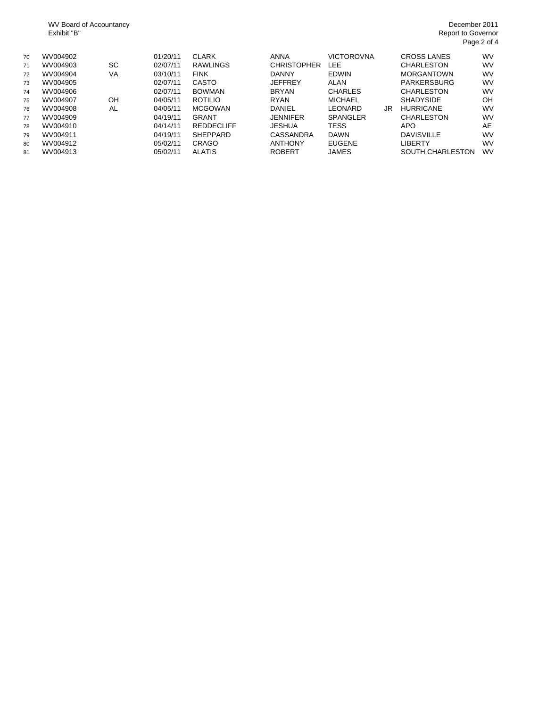WV Board of Accountancy Exhibit "B"

#### December 2011 Report to Governor Page 2 of 4

| 70<br>71<br>72<br>73<br>74<br>75<br>76 | WV004902<br>WV004903<br>WV004904<br>WV004905<br>WV004906<br>WV004907<br>WV004908 | SC<br><b>VA</b><br>OH<br>AL | 01/20/11<br>02/07/11<br>03/10/11<br>02/07/11<br>02/07/11<br>04/05/11<br>04/05/11 | <b>CLARK</b><br><b>RAWLINGS</b><br><b>FINK</b><br><b>CASTO</b><br><b>BOWMAN</b><br><b>ROTILIO</b><br><b>MCGOWAN</b> | <b>ANNA</b><br><b>CHRISTOPHER</b><br><b>DANNY</b><br><b>JEFFREY</b><br><b>BRYAN</b><br><b>RYAN</b><br>DANIEL | VICTOROVNA<br>LEE<br><b>EDWIN</b><br><b>ALAN</b><br><b>CHARLES</b><br><b>MICHAEL</b><br>LEONARD | JR | CROSS LANES<br><b>CHARLESTON</b><br><b>MORGANTOWN</b><br>PARKERSBURG<br><b>CHARLESTON</b><br><b>SHADYSIDE</b><br><b>HURRICANE</b> | <b>WV</b><br><b>WV</b><br><b>WV</b><br>WV<br><b>WV</b><br>OH<br><b>WV</b> |
|----------------------------------------|----------------------------------------------------------------------------------|-----------------------------|----------------------------------------------------------------------------------|---------------------------------------------------------------------------------------------------------------------|--------------------------------------------------------------------------------------------------------------|-------------------------------------------------------------------------------------------------|----|-----------------------------------------------------------------------------------------------------------------------------------|---------------------------------------------------------------------------|
| 77                                     | WV004909                                                                         |                             | 04/19/11                                                                         | <b>GRANT</b>                                                                                                        | <b>JENNIFER</b>                                                                                              | <b>SPANGLER</b>                                                                                 |    | <b>CHARLESTON</b>                                                                                                                 | <b>WV</b>                                                                 |
| 78<br>79                               | WV004910<br>WV004911                                                             |                             | 04/14/11<br>04/19/11                                                             | <b>REDDECLIFF</b><br><b>SHEPPARD</b>                                                                                | JESHUA<br>CASSANDRA                                                                                          | TESS<br><b>DAWN</b>                                                                             |    | <b>APO</b><br><b>DAVISVILLE</b>                                                                                                   | AE<br><b>WV</b>                                                           |
| 80                                     | WV004912                                                                         |                             | 05/02/11                                                                         | <b>CRAGO</b>                                                                                                        | <b>ANTHONY</b>                                                                                               | <b>EUGENE</b>                                                                                   |    | LIBERTY                                                                                                                           | <b>WV</b>                                                                 |
| 81                                     | WV004913                                                                         |                             | 05/02/11                                                                         | <b>ALATIS</b>                                                                                                       | <b>ROBERT</b>                                                                                                | JAMES                                                                                           |    | <b>SOUTH CHARLESTON</b>                                                                                                           | WV                                                                        |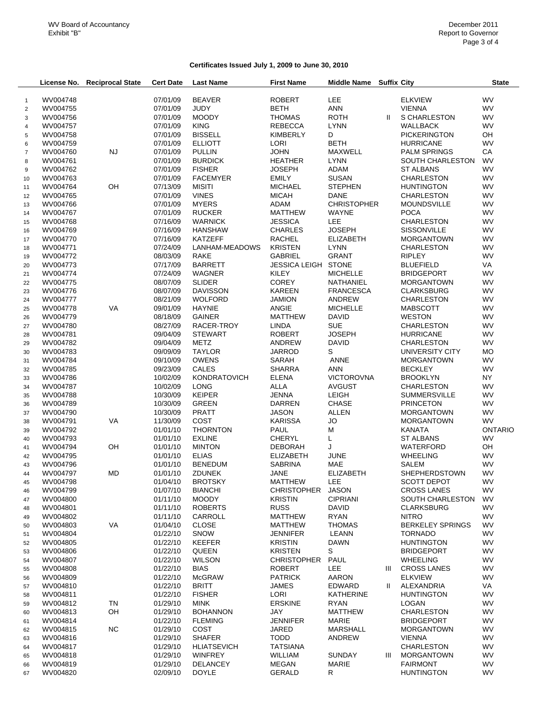## **Certificates Issued July 1, 2009 to June 30, 2010**

|                | License No.          | <b>Reciprocal State</b> | <b>Cert Date</b>     | <b>Last Name</b>                 | <b>First Name</b>               | <b>Middle Name</b>              | <b>Suffix City</b> |                                             | <b>State</b>    |
|----------------|----------------------|-------------------------|----------------------|----------------------------------|---------------------------------|---------------------------------|--------------------|---------------------------------------------|-----------------|
|                |                      |                         |                      |                                  |                                 |                                 |                    |                                             |                 |
| $\mathbf{1}$   | WV004748             |                         | 07/01/09             | <b>BEAVER</b>                    | <b>ROBERT</b>                   | <b>LEE</b>                      |                    | <b>ELKVIEW</b>                              | <b>WV</b>       |
| $\sqrt{2}$     | WV004755             |                         | 07/01/09             | <b>JUDY</b>                      | <b>BETH</b>                     | <b>ANN</b>                      |                    | <b>VIENNA</b>                               | <b>WV</b>       |
| 3              | WV004756             |                         | 07/01/09             | <b>MOODY</b>                     | <b>THOMAS</b>                   | <b>ROTH</b>                     | Ш.                 | S CHARLESTON                                | <b>WV</b>       |
| $\overline{4}$ | WV004757             |                         | 07/01/09             | <b>KING</b>                      | <b>REBECCA</b>                  | <b>LYNN</b>                     |                    | <b>WALLBACK</b>                             | WV              |
| 5              | WV004758             |                         | 07/01/09             | <b>BISSELL</b>                   | <b>KIMBERLY</b>                 | D                               |                    | <b>PICKERINGTON</b>                         | OH              |
| 6              | WV004759             |                         | 07/01/09             | <b>ELLIOTT</b>                   | LORI                            | <b>BETH</b>                     |                    | <b>HURRICANE</b>                            | WV              |
| $\overline{7}$ | WV004760             | <b>NJ</b>               | 07/01/09             | <b>PULLIN</b>                    | <b>JOHN</b>                     | <b>MAXWELL</b>                  |                    | <b>PALM SPRINGS</b>                         | CA              |
| 8              | WV004761<br>WV004762 |                         | 07/01/09<br>07/01/09 | <b>BURDICK</b><br><b>FISHER</b>  | <b>HEATHER</b><br><b>JOSEPH</b> | <b>LYNN</b><br>ADAM             |                    | <b>SOUTH CHARLESTON</b><br><b>ST ALBANS</b> | WV<br><b>WV</b> |
| $9\,$          |                      |                         |                      |                                  |                                 |                                 |                    |                                             | <b>WV</b>       |
| 10<br>11       | WV004763<br>WV004764 | OH                      | 07/01/09<br>07/13/09 | <b>FACEMYER</b><br><b>MISITI</b> | <b>EMILY</b><br><b>MICHAEL</b>  | <b>SUSAN</b><br><b>STEPHEN</b>  |                    | <b>CHARLESTON</b><br><b>HUNTINGTON</b>      | <b>WV</b>       |
| 12             | WV004765             |                         | 07/01/09             | <b>VINES</b>                     | <b>MICAH</b>                    | <b>DANE</b>                     |                    | <b>CHARLESTON</b>                           | <b>WV</b>       |
|                | WV004766             |                         | 07/01/09             | <b>MYERS</b>                     | ADAM                            | <b>CHRISTOPHER</b>              |                    | <b>MOUNDSVILLE</b>                          | <b>WV</b>       |
| 13<br>14       | WV004767             |                         | 07/01/09             | <b>RUCKER</b>                    | <b>MATTHEW</b>                  | <b>WAYNE</b>                    |                    | <b>POCA</b>                                 | <b>WV</b>       |
| 15             | WV004768             |                         | 07/16/09             | <b>WARNICK</b>                   | <b>JESSICA</b>                  | <b>LEE</b>                      |                    | <b>CHARLESTON</b>                           | <b>WV</b>       |
| 16             | WV004769             |                         | 07/16/09             | <b>HANSHAW</b>                   | <b>CHARLES</b>                  | <b>JOSEPH</b>                   |                    | <b>SISSONVILLE</b>                          | <b>WV</b>       |
| 17             | WV004770             |                         | 07/16/09             | <b>KATZEFF</b>                   | <b>RACHEL</b>                   | <b>ELIZABETH</b>                |                    | <b>MORGANTOWN</b>                           | <b>WV</b>       |
| 18             | WV004771             |                         | 07/24/09             | LANHAM-MEADOWS                   | <b>KRISTEN</b>                  | <b>LYNN</b>                     |                    | <b>CHARLESTON</b>                           | <b>WV</b>       |
| 19             | WV004772             |                         | 08/03/09             | <b>RAKE</b>                      | <b>GABRIEL</b>                  | <b>GRANT</b>                    |                    | <b>RIPLEY</b>                               | <b>WV</b>       |
| 20             | WV004773             |                         | 07/17/09             | <b>BARRETT</b>                   | JESSICA LEIGH STONE             |                                 |                    | <b>BLUEFIELD</b>                            | VA              |
| 21             | WV004774             |                         | 07/24/09             | <b>WAGNER</b>                    | <b>KILEY</b>                    | <b>MICHELLE</b>                 |                    | <b>BRIDGEPORT</b>                           | <b>WV</b>       |
| 22             | WV004775             |                         | 08/07/09             | <b>SLIDER</b>                    | <b>COREY</b>                    | NATHANIEL                       |                    | <b>MORGANTOWN</b>                           | <b>WV</b>       |
|                | WV004776             |                         | 08/07/09             | <b>DAVISSON</b>                  | <b>KAREEN</b>                   | <b>FRANCESCA</b>                |                    | <b>CLARKSBURG</b>                           | <b>WV</b>       |
| 23             | WV004777             |                         | 08/21/09             | <b>WOLFORD</b>                   | <b>JAMION</b>                   | ANDREW                          |                    | <b>CHARLESTON</b>                           | <b>WV</b>       |
| 24             |                      |                         |                      |                                  | ANGIE                           |                                 |                    |                                             | <b>WV</b>       |
| 25             | WV004778             | VA                      | 09/01/09             | <b>HAYNIE</b>                    | <b>MATTHEW</b>                  | <b>MICHELLE</b><br><b>DAVID</b> |                    | <b>MABSCOTT</b><br><b>WESTON</b>            | <b>WV</b>       |
| 26             | WV004779             |                         | 08/18/09             | <b>GAINER</b><br>RACER-TROY      |                                 | <b>SUE</b>                      |                    |                                             | <b>WV</b>       |
| 27             | WV004780             |                         | 08/27/09             |                                  | <b>LINDA</b>                    |                                 |                    | <b>CHARLESTON</b>                           |                 |
| 28             | WV004781             |                         | 09/04/09             | <b>STEWART</b>                   | <b>ROBERT</b>                   | <b>JOSEPH</b>                   |                    | <b>HURRICANE</b>                            | <b>WV</b>       |
| 29             | WV004782             |                         | 09/04/09             | <b>METZ</b>                      | ANDREW                          | <b>DAVID</b>                    |                    | <b>CHARLESTON</b>                           | <b>WV</b>       |
| 30             | WV004783             |                         | 09/09/09             | <b>TAYLOR</b>                    | <b>JARROD</b>                   | S                               |                    | UNIVERSITY CITY                             | <b>MO</b>       |
| 31             | WV004784             |                         | 09/10/09             | <b>OWENS</b>                     | SARAH                           | ANNE                            |                    | <b>MORGANTOWN</b>                           | <b>WV</b>       |
| 32             | WV004785             |                         | 09/23/09             | <b>CALES</b>                     | <b>SHARRA</b>                   | <b>ANN</b>                      |                    | <b>BECKLEY</b>                              | <b>WV</b>       |
| 33             | WV004786             |                         | 10/02/09             | <b>KONDRATOVICH</b>              | <b>ELENA</b>                    | <b>VICTOROVNA</b>               |                    | <b>BROOKLYN</b>                             | NY.             |
| 34             | WV004787             |                         | 10/02/09             | <b>LONG</b>                      | ALLA                            | <b>AVGUST</b>                   |                    | <b>CHARLESTON</b>                           | <b>WV</b>       |
| 35             | WV004788             |                         | 10/30/09             | <b>KEIPER</b>                    | <b>JENNA</b>                    | <b>LEIGH</b>                    |                    | <b>SUMMERSVILLE</b>                         | <b>WV</b>       |
| 36             | WV004789             |                         | 10/30/09             | <b>GREEN</b>                     | <b>DARREN</b>                   | <b>CHASE</b>                    |                    | <b>PRINCETON</b>                            | <b>WV</b>       |
| 37             | WV004790             |                         | 10/30/09             | <b>PRATT</b>                     | <b>JASON</b>                    | <b>ALLEN</b>                    |                    | <b>MORGANTOWN</b>                           | <b>WV</b>       |
| 38             | WV004791             | VA                      | 11/30/09             | COST                             | <b>KARISSA</b>                  | <b>JO</b>                       |                    | <b>MORGANTOWN</b>                           | <b>WV</b>       |
| 39             | WV004792             |                         | 01/01/10             | <b>THORNTON</b>                  | PAUL                            | M                               |                    | KANATA                                      | <b>ONTARIO</b>  |
| 40             | WV004793             |                         | 01/01/10             | <b>EXLINE</b>                    | <b>CHERYL</b>                   | L                               |                    | <b>ST ALBANS</b>                            | WV              |
| 41             | WV004794             | OH                      | 01/01/10             | <b>MINTON</b>                    | <b>DEBORAH</b>                  | J                               |                    | WATERFORD                                   | OH              |
| 42             | WV004795             |                         | 01/01/10             | <b>ELIAS</b>                     | <b>ELIZABETH</b>                | <b>JUNE</b>                     |                    | <b>WHEELING</b>                             | <b>WV</b>       |
| 43             | WV004796             |                         | 01/01/10             | <b>BENEDUM</b>                   | <b>SABRINA</b>                  | <b>MAE</b>                      |                    | SALEM                                       | <b>WV</b>       |
| 44             | WV004797             | MD                      | 01/01/10             | <b>ZDUNEK</b>                    | <b>JANE</b>                     | <b>ELIZABETH</b>                |                    | <b>SHEPHERDSTOWN</b>                        | WV              |
| 45             | WV004798             |                         | 01/04/10             | <b>BROTSKY</b>                   | <b>MATTHEW</b>                  | LEE                             |                    | SCOTT DEPOT                                 | <b>WV</b>       |
| 46             | WV004799             |                         | 01/07/10             | <b>BIANCHI</b>                   | CHRISTOPHER                     | <b>JASON</b>                    |                    | <b>CROSS LANES</b>                          | WV              |
| 47             | WV004800             |                         | 01/11/10             | <b>MOODY</b>                     | <b>KRISTIN</b>                  | <b>CIPRIANI</b>                 |                    | <b>SOUTH CHARLESTON</b>                     | <b>WV</b>       |
| 48             | WV004801             |                         | 01/11/10             | <b>ROBERTS</b>                   | <b>RUSS</b>                     | <b>DAVID</b>                    |                    | <b>CLARKSBURG</b>                           | WV              |
| 49             | WV004802             |                         | 01/11/10             | CARROLL                          | MATTHEW                         | <b>RYAN</b>                     |                    | <b>NITRO</b>                                | <b>WV</b>       |
| 50             | WV004803             | VA                      | 01/04/10             | <b>CLOSE</b>                     | <b>MATTHEW</b>                  | <b>THOMAS</b>                   |                    | <b>BERKELEY SPRINGS</b>                     | <b>WV</b>       |
| 51             | WV004804             |                         | 01/22/10             | SNOW                             | JENNIFER                        | LEANN                           |                    | <b>TORNADO</b>                              | <b>WV</b>       |
| 52             | WV004805             |                         | 01/22/10             | <b>KEEFER</b>                    | <b>KRISTIN</b>                  | <b>DAWN</b>                     |                    | <b>HUNTINGTON</b>                           | WV              |
| 53             | WV004806             |                         | 01/22/10             | QUEEN                            | <b>KRISTEN</b>                  | S                               |                    | <b>BRIDGEPORT</b>                           | <b>WV</b>       |
| 54             | WV004807             |                         | 01/22/10             | <b>WILSON</b>                    | <b>CHRISTOPHER</b>              | <b>PAUL</b>                     |                    | <b>WHEELING</b>                             | <b>WV</b>       |
| 55             | WV004808             |                         | 01/22/10             | <b>BIAS</b>                      | <b>ROBERT</b>                   | LEE                             | Ш                  | <b>CROSS LANES</b>                          | <b>WV</b>       |
| 56             | WV004809             |                         | 01/22/10             | <b>McGRAW</b>                    | <b>PATRICK</b>                  | <b>AARON</b>                    |                    | <b>ELKVIEW</b>                              | <b>WV</b>       |
| 57             | WV004810             |                         | 01/22/10             | <b>BRITT</b>                     | <b>JAMES</b>                    | EDWARD                          | Ш.                 | ALEXANDRIA                                  | VA              |
| 58             | WV004811             |                         | 01/22/10             | <b>FISHER</b>                    | LORI                            | <b>KATHERINE</b>                |                    | <b>HUNTINGTON</b>                           | <b>WV</b>       |
| 59             | WV004812             | <b>TN</b>               | 01/29/10             | <b>MINK</b>                      | <b>ERSKINE</b>                  | <b>RYAN</b>                     |                    | LOGAN                                       | <b>WV</b>       |
| 60             | WV004813             | OH                      | 01/29/10             | <b>BOHANNON</b>                  | JAY                             | <b>MATTHEW</b>                  |                    | <b>CHARLESTON</b>                           | <b>WV</b>       |
| 61             | WV004814             |                         | 01/22/10             | <b>FLEMING</b>                   | <b>JENNIFER</b>                 | <b>MARIE</b>                    |                    | <b>BRIDGEPORT</b>                           | <b>WV</b>       |
| 62             | WV004815             | <b>NC</b>               | 01/29/10             | COST                             | JARED                           | <b>MARSHALL</b>                 |                    | <b>MORGANTOWN</b>                           | <b>WV</b>       |
| 63             | WV004816             |                         | 01/29/10             | <b>SHAFER</b>                    | <b>TODD</b>                     | <b>ANDREW</b>                   |                    | <b>VIENNA</b>                               | <b>WV</b>       |
| 64             | WV004817             |                         | 01/29/10             | <b>HLIATSEVICH</b>               | <b>TATSIANA</b>                 |                                 |                    | CHARLESTON                                  | <b>WV</b>       |
| 65             | WV004818             |                         | 01/29/10             | <b>WINFREY</b>                   | WILLIAM                         | <b>SUNDAY</b>                   | Ш                  | <b>MORGANTOWN</b>                           | WV              |
| 66             | WV004819             |                         | 01/29/10             | <b>DELANCEY</b>                  | MEGAN                           | <b>MARIE</b>                    |                    | <b>FAIRMONT</b>                             | <b>WV</b>       |
| 67             | WV004820             |                         | 02/09/10             | <b>DOYLE</b>                     | <b>GERALD</b>                   | R                               |                    | <b>HUNTINGTON</b>                           | WV              |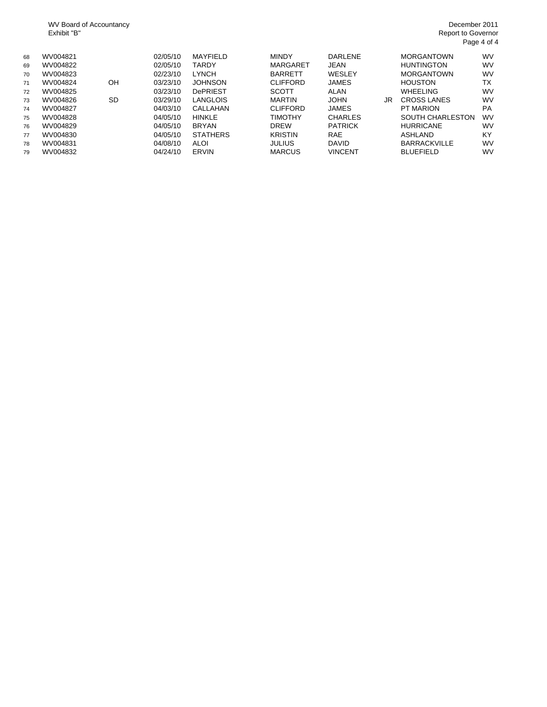WV Board of Accountancy Exhibit "B"

| 68 | WV004821 |           | 02/05/10 | MAYFIELD        | <b>MINDY</b>    | DARLENE        |    | <b>MORGANTOWN</b>       | <b>WV</b> |
|----|----------|-----------|----------|-----------------|-----------------|----------------|----|-------------------------|-----------|
| 69 | WV004822 |           | 02/05/10 | <b>TARDY</b>    | <b>MARGARET</b> | <b>JEAN</b>    |    | <b>HUNTINGTON</b>       | <b>WV</b> |
| 70 | WV004823 |           | 02/23/10 | <b>LYNCH</b>    | <b>BARRETT</b>  | WESLEY         |    | <b>MORGANTOWN</b>       | <b>WV</b> |
| 71 | WV004824 | OH        | 03/23/10 | <b>JOHNSON</b>  | <b>CLIFFORD</b> | <b>JAMES</b>   |    | <b>HOUSTON</b>          | ТX        |
| 72 | WV004825 |           | 03/23/10 | <b>DePRIEST</b> | <b>SCOTT</b>    | <b>ALAN</b>    |    | <b>WHEELING</b>         | <b>WV</b> |
| 73 | WV004826 | <b>SD</b> | 03/29/10 | <b>LANGLOIS</b> | <b>MARTIN</b>   | <b>JOHN</b>    | JR | <b>CROSS LANES</b>      | <b>WV</b> |
| 74 | WV004827 |           | 04/03/10 | CALLAHAN        | <b>CLIFFORD</b> | <b>JAMES</b>   |    | PT MARION               | PA        |
| 75 | WV004828 |           | 04/05/10 | <b>HINKLE</b>   | <b>TIMOTHY</b>  | <b>CHARLES</b> |    | <b>SOUTH CHARLESTON</b> | <b>WV</b> |
| 76 | WV004829 |           | 04/05/10 | <b>BRYAN</b>    | <b>DREW</b>     | <b>PATRICK</b> |    | <b>HURRICANE</b>        | <b>WV</b> |
| 77 | WV004830 |           | 04/05/10 | <b>STATHERS</b> | <b>KRISTIN</b>  | <b>RAE</b>     |    | ASHLAND                 | KY        |
| 78 | WV004831 |           | 04/08/10 | <b>ALOI</b>     | <b>JULIUS</b>   | <b>DAVID</b>   |    | <b>BARRACKVILLE</b>     | <b>WV</b> |
| 79 | WV004832 |           | 04/24/10 | ERVIN           | <b>MARCUS</b>   | <b>VINCENT</b> |    | <b>BLUEFIELD</b>        | <b>WV</b> |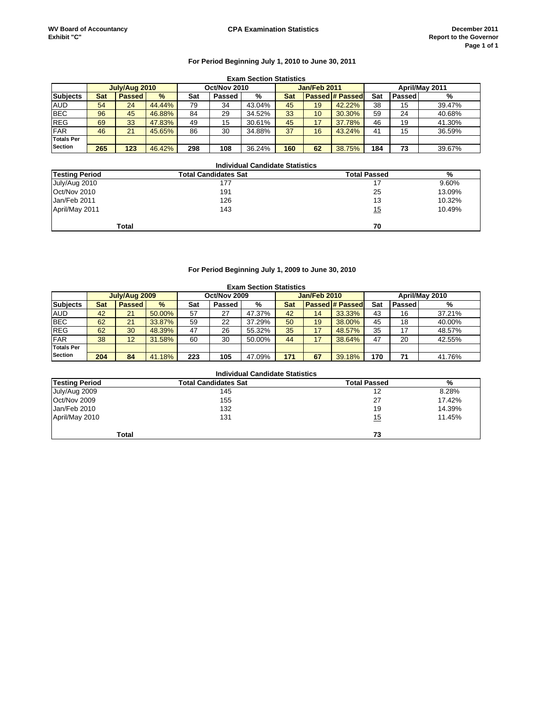#### **For Period Beginning July 1, 2010 to June 30, 2011**

|                   | <b>Exam Section Statistics</b> |               |        |     |              |        |     |                |                        |     |        |        |
|-------------------|--------------------------------|---------------|--------|-----|--------------|--------|-----|----------------|------------------------|-----|--------|--------|
|                   | July/Aug 2010<br>Oct/Nov 2010  |               |        |     | Jan/Feb 2011 |        |     | April/May 2011 |                        |     |        |        |
| <b>Subjects</b>   | <b>Sat</b>                     | <b>Passed</b> | $\%$   | Sat | Passed       | %      | Sat |                | <b>Passed # Passed</b> | Sat | Passed | %      |
| <b>AUD</b>        | 54                             | 24            | 44.44% | 79  | 34           | 43.04% | 45  | 19             | 42.22%                 | 38  | 15     | 39.47% |
| <b>BEC</b>        | 96                             | 45            | 46.88% | 84  | 29           | 34.52% | 33  | 10             | 30.30%                 | 59  | 24     | 40.68% |
| <b>REG</b>        | 69                             | 33            | 47.83% | 49  | 15           | 30.61% | 45  | 17             | 37.78%                 | 46  | 19     | 41.30% |
| <b>FAR</b>        | 46                             | 21            | 45.65% | 86  | 30           | 34.88% | 37  | 16             | 43.24%                 | 41  | 15     | 36.59% |
| <b>Totals Per</b> |                                |               |        |     |              |        |     |                |                        |     |        |        |
| <b>Section</b>    | 265                            | 123           | 46.42% | 298 | 108          | 36.24% | 160 | 62             | 38.75%                 | 184 | 73     | 39.67% |

#### **Total Candidates Sat % Testing Period Total Passed Testing Period 1988 12010 12010 12010 12010 12010 12010 12010 12010 12010 12010 12010 12010 12010 12010 12010**<br> **July/Aug 2010 125** 13.09% 12010 12010 12010 12010 12010 12010 12010 12100 12100 12100 12100 12100 12100 1210 Oct/Nov 2010 191 25 13.09% Jan/Feb 2011 April/May 2011 143 10.49% **Total 70 Individual Candidate Statistics**

#### **For Period Beginning July 1, 2009 to June 30, 2010**

|                   | <b>Exam Section Statistics</b> |               |        |              |        |              |            |                |                        |     |        |        |
|-------------------|--------------------------------|---------------|--------|--------------|--------|--------------|------------|----------------|------------------------|-----|--------|--------|
|                   | July/Aug 2009                  |               |        | Oct/Nov 2009 |        | Jan/Feb 2010 |            | April/May 2010 |                        |     |        |        |
| <b>Subjects</b>   | Sat                            | <b>Passed</b> | $\%$   | Sat          | Passed | %            | <b>Sat</b> |                | <b>Passed # Passed</b> | Sat | Passed | %      |
| <b>AUD</b>        | 42                             | 21            | 50.00% | 57           | 27     | 47.37%       | 42         | 14             | 33.33%                 | 43  | 16     | 37.21% |
| <b>BEC</b>        | 62                             | 21            | 33.87% | 59           | 22     | 37.29%       | 50         | 19             | 38.00%                 | 45  | 18     | 40.00% |
| <b>REG</b>        | 62                             | 30            | 48.39% | 47           | 26     | 55.32%       | 35         | 17             | 48.57%                 | 35  | 17     | 48.57% |
| <b>FAR</b>        | 38                             | 12            | 31.58% | 60           | 30     | 50.00%       | 44         | 17             | 38.64%                 | 47  | 20     | 42.55% |
| <b>Totals Per</b> |                                |               |        |              |        |              |            |                |                        |     |        |        |
| <b>Section</b>    | 204                            | 84            | 41.18% | 223          | 105    | 47.09%       | 171        | 67             | 39.18%                 | 170 | 71     | 41.76% |

|                       | <b>Individual Candidate Statistics</b> |                     |        |
|-----------------------|----------------------------------------|---------------------|--------|
| <b>Testing Period</b> | <b>Total Candidates Sat</b>            | <b>Total Passed</b> | %      |
| July/Aug 2009         | 145                                    | 12                  | 8.28%  |
| Oct/Nov 2009          | 155                                    | 27                  | 17.42% |
| Jan/Feb 2010          | 132                                    | 19                  | 14.39% |
| April/May 2010        | 131                                    | <u> 15</u>          | 11.45% |
| Total                 |                                        | 73                  |        |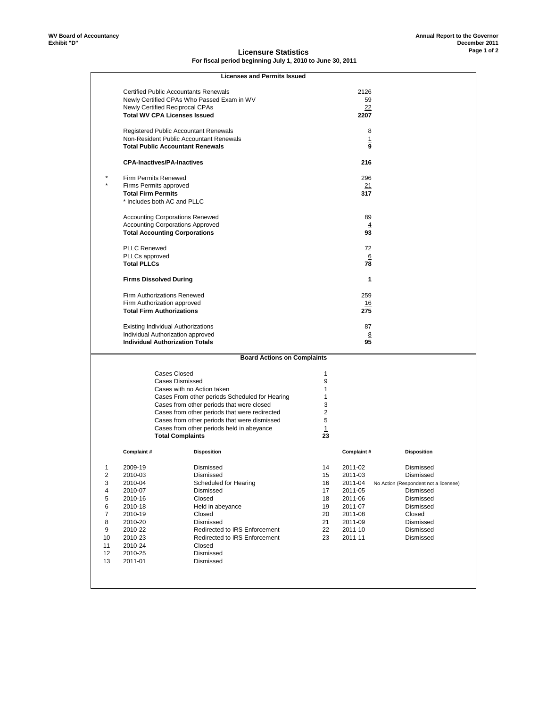#### **Licensure Statistics For fiscal period beginning July 1, 2010 to June 30, 2011**

|                         |                                         | <b>Licenses and Permits Issued</b>             |                |            |                                       |  |  |
|-------------------------|-----------------------------------------|------------------------------------------------|----------------|------------|---------------------------------------|--|--|
|                         |                                         | <b>Certified Public Accountants Renewals</b>   |                | 2126       |                                       |  |  |
|                         |                                         | Newly Certified CPAs Who Passed Exam in WV     |                | 59         |                                       |  |  |
|                         | Newly Certified Reciprocal CPAs         |                                                | 22             |            |                                       |  |  |
|                         | <b>Total WV CPA Licenses Issued</b>     |                                                |                | 2207       |                                       |  |  |
|                         |                                         | <b>Registered Public Accountant Renewals</b>   |                |            | 8                                     |  |  |
|                         |                                         | Non-Resident Public Accountant Renewals        |                |            | 1                                     |  |  |
|                         | <b>Total Public Accountant Renewals</b> |                                                |                |            | 9                                     |  |  |
|                         |                                         |                                                |                |            |                                       |  |  |
|                         | <b>CPA-Inactives/PA-Inactives</b>       |                                                |                | 216        |                                       |  |  |
|                         | Firm Permits Renewed                    |                                                |                | 296        |                                       |  |  |
|                         | Firms Permits approved                  |                                                |                | 21         |                                       |  |  |
|                         | <b>Total Firm Permits</b>               |                                                |                | 317        |                                       |  |  |
|                         | * Includes both AC and PLLC             |                                                |                |            |                                       |  |  |
|                         |                                         |                                                |                |            |                                       |  |  |
|                         | <b>Accounting Corporations Renewed</b>  |                                                |                | 89         |                                       |  |  |
|                         | <b>Accounting Corporations Approved</b> |                                                |                |            | $\overline{4}$                        |  |  |
|                         | <b>Total Accounting Corporations</b>    |                                                |                | 93         |                                       |  |  |
|                         | <b>PLLC Renewed</b>                     |                                                |                | 72         |                                       |  |  |
|                         | PLLCs approved                          |                                                |                |            | $6\overline{6}$                       |  |  |
|                         | <b>Total PLLCs</b>                      |                                                |                | 78         |                                       |  |  |
|                         |                                         |                                                |                |            |                                       |  |  |
|                         | <b>Firms Dissolved During</b>           |                                                |                |            | 1                                     |  |  |
|                         | Firm Authorizations Renewed             |                                                |                | 259        |                                       |  |  |
|                         | Firm Authorization approved             |                                                | 16             |            |                                       |  |  |
|                         | <b>Total Firm Authorizations</b>        |                                                |                | 275        |                                       |  |  |
|                         | Existing Individual Authorizations      |                                                |                | 87         |                                       |  |  |
|                         | Individual Authorization approved       |                                                |                |            | 8                                     |  |  |
|                         | <b>Individual Authorization Totals</b>  |                                                |                | 95         |                                       |  |  |
|                         |                                         |                                                |                |            |                                       |  |  |
|                         |                                         | <b>Board Actions on Complaints</b>             |                |            |                                       |  |  |
|                         | <b>Cases Closed</b>                     |                                                | 1              |            |                                       |  |  |
|                         |                                         | Cases Dismissed                                | 9              |            |                                       |  |  |
|                         |                                         | Cases with no Action taken                     | 1              |            |                                       |  |  |
|                         |                                         | Cases From other periods Scheduled for Hearing | 1              |            |                                       |  |  |
|                         |                                         | Cases from other periods that were closed      | 3              |            |                                       |  |  |
|                         |                                         | Cases from other periods that were redirected  | $\overline{2}$ |            |                                       |  |  |
|                         |                                         | Cases from other periods that were dismissed   | 5              |            |                                       |  |  |
|                         |                                         | Cases from other periods held in abeyance      | 1              |            |                                       |  |  |
|                         |                                         | <b>Total Complaints</b>                        | 23             |            |                                       |  |  |
|                         | Complaint#                              | <b>Disposition</b>                             |                | Complaint# | <b>Disposition</b>                    |  |  |
|                         |                                         |                                                |                |            |                                       |  |  |
| 1                       | 2009-19                                 | Dismissed                                      | 14             | 2011-02    | Dismissed                             |  |  |
| $\overline{\mathbf{c}}$ | 2010-03                                 | Dismissed                                      | 15             | 2011-03    | Dismissed                             |  |  |
| 3                       | 2010-04                                 | Scheduled for Hearing                          | 16             | 2011-04    | No Action (Respondent not a licensee) |  |  |
| 4                       | 2010-07                                 | Dismissed                                      | 17             | 2011-05    | Dismissed                             |  |  |
| 5                       | 2010-16                                 | Closed                                         | 18             | 2011-06    | Dismissed                             |  |  |
| 6                       | 2010-18                                 | Held in abeyance                               | 19             | 2011-07    | Dismissed                             |  |  |
| 7                       | 2010-19                                 | Closed                                         | 20             | 2011-08    | Closed                                |  |  |
| 8                       | 2010-20                                 | Dismissed                                      | 21             | 2011-09    | Dismissed                             |  |  |
| 9                       | 2010-22                                 | Redirected to IRS Enforcement                  | 22             | 2011-10    | Dismissed                             |  |  |
| 10                      | 2010-23                                 | Redirected to IRS Enforcement                  | 23             | 2011-11    | Dismissed                             |  |  |
| 11                      | 2010-24                                 | Closed                                         |                |            |                                       |  |  |
| 12                      | 2010-25                                 | Dismissed                                      |                |            |                                       |  |  |
| 13                      | 2011-01                                 | Dismissed                                      |                |            |                                       |  |  |
|                         |                                         |                                                |                |            |                                       |  |  |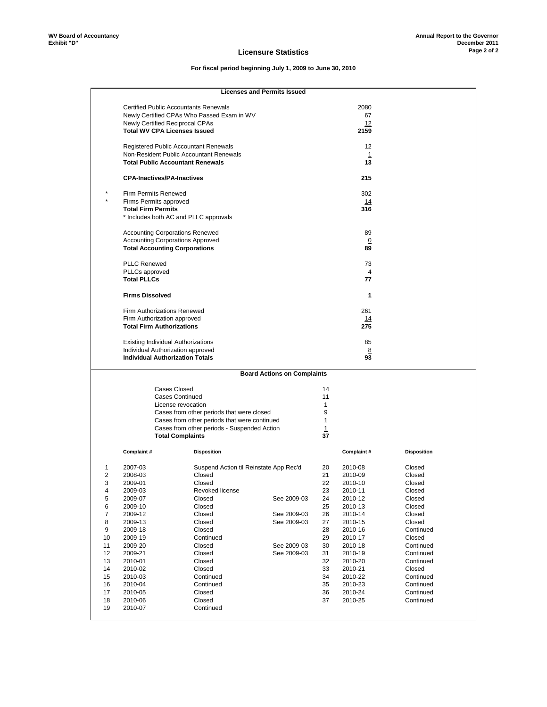#### **Licensure Statistics**

## **For fiscal period beginning July 1, 2009 to June 30, 2010**

#### **Licenses and Permits Issued**

|                |                                                                 |                                              | <b>Licenses and Permits Issued</b> |         |                   |                    |
|----------------|-----------------------------------------------------------------|----------------------------------------------|------------------------------------|---------|-------------------|--------------------|
|                |                                                                 |                                              |                                    |         |                   |                    |
|                | <b>Certified Public Accountants Renewals</b>                    |                                              |                                    |         | 2080              |                    |
|                |                                                                 | Newly Certified CPAs Who Passed Exam in WV   |                                    |         | 67                |                    |
|                | Newly Certified Reciprocal CPAs                                 |                                              |                                    |         | 12                |                    |
|                | <b>Total WV CPA Licenses Issued</b>                             |                                              |                                    |         | 2159              |                    |
|                |                                                                 |                                              |                                    |         |                   |                    |
|                | <b>Registered Public Accountant Renewals</b>                    |                                              |                                    |         | 12                |                    |
|                | Non-Resident Public Accountant Renewals                         |                                              |                                    |         | $\mathbf{1}$      |                    |
|                | <b>Total Public Accountant Renewals</b>                         |                                              |                                    |         | 13                |                    |
|                | <b>CPA-Inactives/PA-Inactives</b>                               |                                              |                                    |         | 215               |                    |
|                |                                                                 |                                              |                                    |         |                   |                    |
|                | Firm Permits Renewed                                            |                                              |                                    |         | 302               |                    |
|                | Firms Permits approved                                          |                                              |                                    |         | 14                |                    |
|                | <b>Total Firm Permits</b>                                       |                                              |                                    |         | 316               |                    |
|                | * Includes both AC and PLLC approvals                           |                                              |                                    |         |                   |                    |
|                |                                                                 |                                              |                                    |         |                   |                    |
|                | <b>Accounting Corporations Renewed</b>                          |                                              |                                    |         | 89                |                    |
|                | <b>Accounting Corporations Approved</b>                         |                                              |                                    |         | $\overline{0}$    |                    |
|                | <b>Total Accounting Corporations</b>                            |                                              |                                    |         | 89                |                    |
|                |                                                                 |                                              |                                    |         |                   |                    |
|                | <b>PLLC Renewed</b>                                             |                                              |                                    |         | 73                |                    |
|                | PLLCs approved                                                  |                                              |                                    |         | $\overline{4}$    |                    |
|                | <b>Total PLLCs</b>                                              |                                              |                                    |         | 77                |                    |
|                |                                                                 |                                              |                                    |         |                   |                    |
|                | <b>Firms Dissolved</b>                                          |                                              |                                    |         | 1                 |                    |
|                |                                                                 |                                              |                                    |         | 261               |                    |
|                | <b>Firm Authorizations Renewed</b>                              |                                              |                                    |         |                   |                    |
|                | Firm Authorization approved<br><b>Total Firm Authorizations</b> |                                              |                                    |         | <u> 14</u><br>275 |                    |
|                |                                                                 |                                              |                                    |         |                   |                    |
|                | Existing Individual Authorizations                              |                                              |                                    |         | 85                |                    |
|                | Individual Authorization approved                               |                                              |                                    |         | 8                 |                    |
|                | <b>Individual Authorization Totals</b>                          |                                              |                                    |         | 93                |                    |
|                |                                                                 |                                              |                                    |         |                   |                    |
|                |                                                                 |                                              | <b>Board Actions on Complaints</b> |         |                   |                    |
|                | <b>Cases Closed</b>                                             |                                              |                                    | 14      |                   |                    |
|                | <b>Cases Continued</b>                                          |                                              |                                    | 11      |                   |                    |
|                | License revocation                                              |                                              |                                    | 1       |                   |                    |
|                |                                                                 | Cases from other periods that were closed    |                                    | 9       |                   |                    |
|                |                                                                 |                                              |                                    | 1       |                   |                    |
|                |                                                                 | Cases from other periods that were continued |                                    |         |                   |                    |
|                |                                                                 | Cases from other periods - Suspended Action  |                                    | 1<br>37 |                   |                    |
|                | <b>Total Complaints</b>                                         |                                              |                                    |         |                   |                    |
|                | Complaint#                                                      | <b>Disposition</b>                           |                                    |         | Complaint#        | <b>Disposition</b> |
|                |                                                                 |                                              |                                    |         |                   |                    |
| 1              | 2007-03                                                         | Suspend Action til Reinstate App Rec'd       |                                    | 20      | 2010-08           | Closed             |
| $\overline{2}$ | 2008-03                                                         | Closed                                       |                                    | 21      | 2010-09           | Closed             |
| 3              | 2009-01                                                         | Closed                                       |                                    | 22      | 2010-10           | Closed             |
|                |                                                                 | Revoked license                              |                                    | 23      | 2010-11           | Closed             |
|                |                                                                 |                                              |                                    |         |                   |                    |
| 4              | 2009-03                                                         |                                              |                                    |         |                   |                    |
| 5              | 2009-07                                                         | Closed                                       | See 2009-03                        | 24      | 2010-12           | Closed             |
| 6              | 2009-10                                                         | Closed                                       |                                    | 25      | 2010-13           | Closed             |
| $\overline{7}$ | 2009-12                                                         | Closed                                       | See 2009-03                        | 26      | 2010-14           | Closed             |
| 8              | 2009-13                                                         | Closed                                       | See 2009-03                        | 27      | 2010-15           | Closed             |
| 9              | 2009-18                                                         | Closed                                       |                                    | 28      | 2010-16           | Continued          |
| 10             | 2009-19                                                         | Continued                                    |                                    | 29      | 2010-17           | Closed             |
| 11             | 2009-20                                                         | Closed                                       | See 2009-03                        | 30      | 2010-18           | Continued          |
| 12             | 2009-21                                                         | Closed                                       | See 2009-03                        | 31      | 2010-19           | Continued          |
| 13             | 2010-01                                                         | Closed                                       |                                    | 32      | 2010-20           | Continued          |
| 14             | 2010-02                                                         | Closed                                       |                                    | 33      | 2010-21           | Closed             |
| 15             | 2010-03                                                         | Continued                                    |                                    | 34      | 2010-22           | Continued          |
| 16             | 2010-04                                                         | Continued                                    |                                    | 35      | 2010-23           | Continued          |
| 17             | 2010-05                                                         | Closed                                       |                                    | 36      | 2010-24           | Continued          |
| 18             | 2010-06                                                         | Closed                                       |                                    | 37      | 2010-25           | Continued          |
| 19             | 2010-07                                                         | Continued                                    |                                    |         |                   |                    |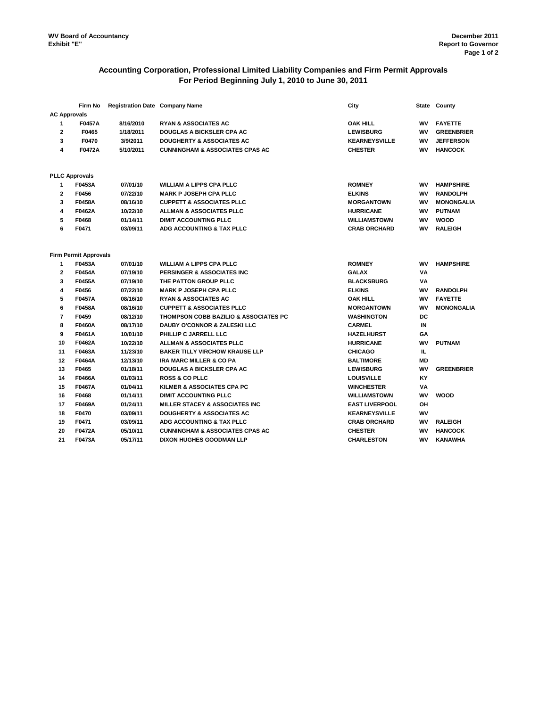### **Accounting Corporation, Professional Limited Liability Companies and Firm Permit Approvals For Period Beginning July 1, 2010 to June 30, 2011**

|                     | Firm No                      | <b>Registration Date Company Name</b> |                                            | City                  |           | State County      |
|---------------------|------------------------------|---------------------------------------|--------------------------------------------|-----------------------|-----------|-------------------|
| <b>AC Approvals</b> |                              |                                       |                                            |                       |           |                   |
| 1                   | <b>F0457A</b>                | 8/16/2010                             | <b>RYAN &amp; ASSOCIATES AC</b>            | <b>OAK HILL</b>       | wv        | <b>FAYETTE</b>    |
| $\mathbf{2}$        | F0465                        | 1/18/2011                             | <b>DOUGLAS A BICKSLER CPA AC</b>           | <b>LEWISBURG</b>      | wv        | <b>GREENBRIER</b> |
| 3                   | F0470                        | 3/9/2011                              | <b>DOUGHERTY &amp; ASSOCIATES AC</b>       | <b>KEARNEYSVILLE</b>  | wv        | <b>JEFFERSON</b>  |
| 4                   | F0472A                       | 5/10/2011                             | <b>CUNNINGHAM &amp; ASSOCIATES CPAS AC</b> | <b>CHESTER</b>        | wv        | <b>HANCOCK</b>    |
|                     | <b>PLLC Approvals</b>        |                                       |                                            |                       |           |                   |
| 1                   | F0453A                       | 07/01/10                              | <b>WILLIAM A LIPPS CPA PLLC</b>            | <b>ROMNEY</b>         | wv        | <b>HAMPSHIRE</b>  |
| $\mathbf{2}$        | F0456                        | 07/22/10                              | <b>MARK P JOSEPH CPA PLLC</b>              | <b>ELKINS</b>         | WV        | <b>RANDOLPH</b>   |
| 3                   | F0458A                       | 08/16/10                              | <b>CUPPETT &amp; ASSOCIATES PLLC</b>       | <b>MORGANTOWN</b>     | WV        | <b>MONONGALIA</b> |
| 4                   | F0462A                       | 10/22/10                              | <b>ALLMAN &amp; ASSOCIATES PLLC</b>        | <b>HURRICANE</b>      | wv        | <b>PUTNAM</b>     |
| 5                   | F0468                        | 01/14/11                              | <b>DIMIT ACCOUNTING PLLC</b>               | <b>WILLIAMSTOWN</b>   | WV        | <b>WOOD</b>       |
| 6                   | F0471                        | 03/09/11                              | ADG ACCOUNTING & TAX PLLC                  | <b>CRAB ORCHARD</b>   | wv        | <b>RALEIGH</b>    |
|                     | <b>Firm Permit Approvals</b> |                                       |                                            |                       |           |                   |
| 1                   | F0453A                       | 07/01/10                              | <b>WILLIAM A LIPPS CPA PLLC</b>            | <b>ROMNEY</b>         | wv        | <b>HAMPSHIRE</b>  |
| $\mathbf{2}$        | F0454A                       | 07/19/10                              | <b>PERSINGER &amp; ASSOCIATES INC</b>      | <b>GALAX</b>          | VA        |                   |
| 3                   | F0455A                       | 07/19/10                              | THE PATTON GROUP PLLC                      | <b>BLACKSBURG</b>     | VA        |                   |
| 4                   | F0456                        | 07/22/10                              | <b>MARK P JOSEPH CPA PLLC</b>              | <b>ELKINS</b>         | WV        | <b>RANDOLPH</b>   |
| 5                   | <b>F0457A</b>                | 08/16/10                              | <b>RYAN &amp; ASSOCIATES AC</b>            | <b>OAK HILL</b>       | wv        | <b>FAYETTE</b>    |
| 6                   | F0458A                       | 08/16/10                              | <b>CUPPETT &amp; ASSOCIATES PLLC</b>       | <b>MORGANTOWN</b>     | <b>WV</b> | <b>MONONGALIA</b> |
| $\overline{7}$      | F0459                        | 08/12/10                              | THOMPSON COBB BAZILIO & ASSOCIATES PC      | <b>WASHINGTON</b>     | DC        |                   |
| 8                   | F0460A                       | 08/17/10                              | <b>DAUBY O'CONNOR &amp; ZALESKI LLC</b>    | <b>CARMEL</b>         | IN        |                   |
| 9                   | F0461A                       | 10/01/10                              | PHILLIP C JARRELL LLC                      | <b>HAZELHURST</b>     | GA        |                   |
| 10                  | F0462A                       | 10/22/10                              | ALLMAN & ASSOCIATES PLLC                   | <b>HURRICANE</b>      | wv        | <b>PUTNAM</b>     |
| 11                  | F0463A                       | 11/23/10                              | <b>BAKER TILLY VIRCHOW KRAUSE LLP</b>      | <b>CHICAGO</b>        | IL.       |                   |
| 12                  | F0464A                       | 12/13/10                              | <b>IRA MARC MILLER &amp; CO PA</b>         | <b>BALTIMORE</b>      | <b>MD</b> |                   |
| 13                  | F0465                        | 01/18/11                              | <b>DOUGLAS A BICKSLER CPA AC</b>           | <b>LEWISBURG</b>      | WV        | <b>GREENBRIER</b> |
| 14                  | F0466A                       | 01/03/11                              | <b>ROSS &amp; CO PLLC</b>                  | <b>LOUISVILLE</b>     | KY        |                   |
| 15                  | F0467A                       | 01/04/11                              | KILMER & ASSOCIATES CPA PC                 | <b>WINCHESTER</b>     | ٧Α        |                   |
| 16                  | F0468                        | 01/14/11                              | <b>DIMIT ACCOUNTING PLLC</b>               | <b>WILLIAMSTOWN</b>   | WV        | <b>WOOD</b>       |
| 17                  | F0469A                       | 01/24/11                              | <b>MILLER STACEY &amp; ASSOCIATES INC</b>  | <b>EAST LIVERPOOL</b> | ΟН        |                   |
| 18                  | F0470                        | 03/09/11                              | <b>DOUGHERTY &amp; ASSOCIATES AC</b>       | <b>KEARNEYSVILLE</b>  | WV        |                   |
| 19                  | F0471                        | 03/09/11                              | ADG ACCOUNTING & TAX PLLC                  | <b>CRAB ORCHARD</b>   | WV        | <b>RALEIGH</b>    |
| 20                  | F0472A                       | 05/10/11                              | <b>CUNNINGHAM &amp; ASSOCIATES CPAS AC</b> | <b>CHESTER</b>        | WV        | <b>HANCOCK</b>    |
| 21                  | F0473A                       | 05/17/11                              | <b>DIXON HUGHES GOODMAN LLP</b>            | <b>CHARLESTON</b>     | WV        | KANAWHA           |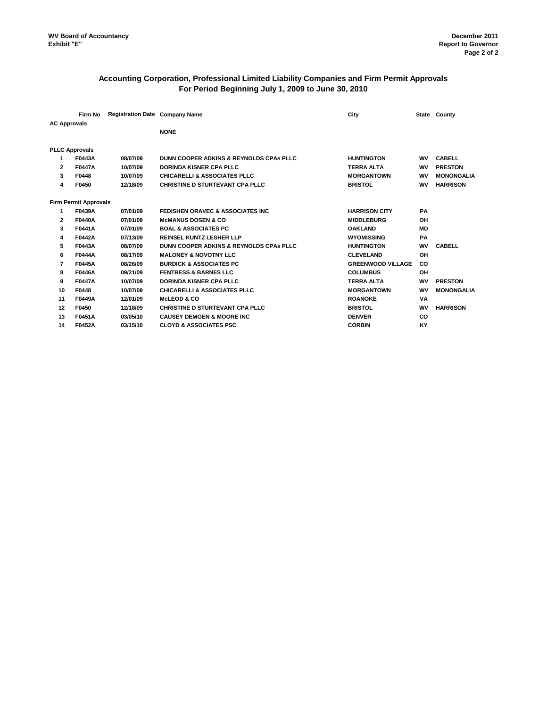### **Accounting Corporation, Professional Limited Liability Companies and Firm Permit Approvals For Period Beginning July 1, 2009 to June 30, 2010**

|                     | Firm No                      | <b>Registration Date Company Name</b> |                                                    | City                     |           | State County      |
|---------------------|------------------------------|---------------------------------------|----------------------------------------------------|--------------------------|-----------|-------------------|
| <b>AC Approvals</b> |                              |                                       |                                                    |                          |           |                   |
|                     |                              |                                       | <b>NONE</b>                                        |                          |           |                   |
|                     | <b>PLLC Approvals</b>        |                                       |                                                    |                          |           |                   |
| 1                   | F0443A                       | 08/07/09                              | <b>DUNN COOPER ADKINS &amp; REYNOLDS CPAS PLLC</b> | <b>HUNTINGTON</b>        | <b>WV</b> | <b>CABELL</b>     |
| 2                   | F0447A                       | 10/07/09                              | <b>DORINDA KISNER CPA PLLC</b>                     | <b>TERRA ALTA</b>        | wv        | <b>PRESTON</b>    |
| 3                   | F0448                        | 10/07/09                              | <b>CHICARELLI &amp; ASSOCIATES PLLC</b>            | <b>MORGANTOWN</b>        | wv        | <b>MONONGALIA</b> |
| 4                   | F0450                        | 12/18/09                              | <b>CHRISTINE D STURTEVANT CPA PLLC</b>             | <b>BRISTOL</b>           | wv        | <b>HARRISON</b>   |
|                     | <b>Firm Permit Approvals</b> |                                       |                                                    |                          |           |                   |
| 1                   | F0439A                       | 07/01/09                              | <b>FEDISHEN ORAVEC &amp; ASSOCIATES INC</b>        | <b>HARRISON CITY</b>     | <b>PA</b> |                   |
| 2                   | <b>F0440A</b>                | 07/01/09                              | <b>McMANUS DOSEN &amp; CO</b>                      | <b>MIDDLEBURG</b>        | OH        |                   |
| 3                   | F0441A                       | 07/01/09                              | <b>BOAL &amp; ASSOCIATES PC</b>                    | <b>OAKLAND</b>           | MD        |                   |
| 4                   | F0442A                       | 07/13/09                              | <b>REINSEL KUNTZ LESHER LLP</b>                    | <b>WYOMISSING</b>        | PA        |                   |
| 5                   | F0443A                       | 08/07/09                              | DUNN COOPER ADKINS & REYNOLDS CPAs PLLC            | <b>HUNTINGTON</b>        | <b>WV</b> | <b>CABELL</b>     |
| 6                   | F0444A                       | 08/17/09                              | <b>MALONEY &amp; NOVOTNY LLC</b>                   | <b>CLEVELAND</b>         | OH        |                   |
| 7                   | <b>F0445A</b>                | 08/26/09                              | <b>BURDICK &amp; ASSOCIATES PC</b>                 | <b>GREENWOOD VILLAGE</b> | CO        |                   |
| 8                   | <b>F0446A</b>                | 09/21/09                              | <b>FENTRESS &amp; BARNES LLC</b>                   | <b>COLUMBUS</b>          | OH        |                   |
| 9                   | <b>F0447A</b>                | 10/07/09                              | <b>DORINDA KISNER CPA PLLC</b>                     | <b>TERRA ALTA</b>        | <b>WV</b> | <b>PRESTON</b>    |
| 10                  | F0448                        | 10/07/09                              | <b>CHICARELLI &amp; ASSOCIATES PLLC</b>            | <b>MORGANTOWN</b>        | <b>WV</b> | <b>MONONGALIA</b> |
| 11                  | F0449A                       | 12/01/09                              | <b>McLEOD &amp; CO</b>                             | <b>ROANOKE</b>           | VA        |                   |
| 12                  | F0450                        | 12/18/09                              | CHRISTINE D STURTEVANT CPA PLLC                    | <b>BRISTOL</b>           | <b>WV</b> | <b>HARRISON</b>   |
| 13                  | F0451A                       | 03/05/10                              | <b>CAUSEY DEMGEN &amp; MOORE INC</b>               | <b>DENVER</b>            | CO        |                   |
| 14                  | F0452A                       | 03/15/10                              | <b>CLOYD &amp; ASSOCIATES PSC</b>                  | <b>CORBIN</b>            | KY        |                   |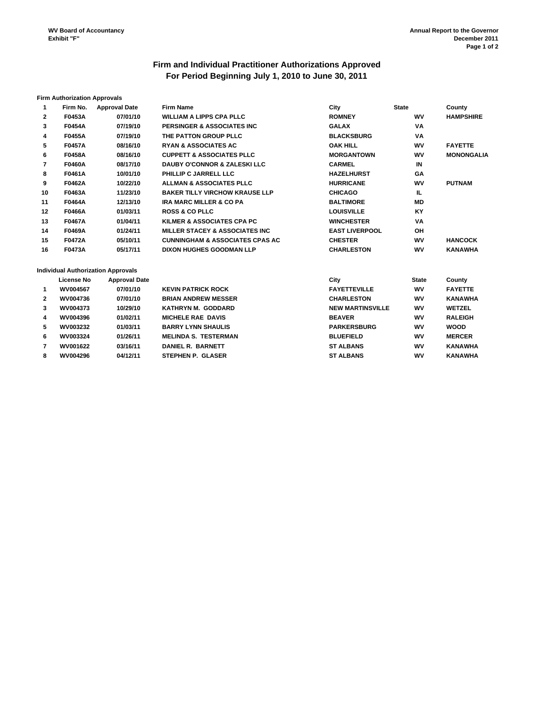## **Firm and Individual Practitioner Authorizations Approved For Period Beginning July 1, 2010 to June 30, 2011**

#### **Firm Authorization Approvals**

| 1            | Firm No.          | <b>Approval Date</b>                      | <b>Firm Name</b>                           | City                    | <b>State</b> | County            |
|--------------|-------------------|-------------------------------------------|--------------------------------------------|-------------------------|--------------|-------------------|
| $\mathbf{2}$ | F0453A            | 07/01/10                                  | <b>WILLIAM A LIPPS CPA PLLC</b>            | <b>ROMNEY</b>           | WV           | <b>HAMPSHIRE</b>  |
| 3            | F0454A            | 07/19/10                                  | PERSINGER & ASSOCIATES INC                 | <b>GALAX</b>            | VA           |                   |
| 4            | <b>F0455A</b>     | 07/19/10                                  | THE PATTON GROUP PLLC                      | <b>BLACKSBURG</b>       | VA           |                   |
| 5            | <b>F0457A</b>     | 08/16/10                                  | <b>RYAN &amp; ASSOCIATES AC</b>            | <b>OAK HILL</b>         | <b>WV</b>    | <b>FAYETTE</b>    |
| 6            | <b>F0458A</b>     | 08/16/10                                  | <b>CUPPETT &amp; ASSOCIATES PLLC</b>       | <b>MORGANTOWN</b>       | <b>WV</b>    | <b>MONONGALIA</b> |
| 7            | <b>F0460A</b>     | 08/17/10                                  | <b>DAUBY O'CONNOR &amp; ZALESKI LLC</b>    | <b>CARMEL</b>           | IN           |                   |
| 8            | F0461A            | 10/01/10                                  | PHILLIP C JARRELL LLC                      | <b>HAZELHURST</b>       | GΑ           |                   |
| 9            | F0462A            | 10/22/10                                  | <b>ALLMAN &amp; ASSOCIATES PLLC</b>        | <b>HURRICANE</b>        | <b>WV</b>    | <b>PUTNAM</b>     |
| 10           | F0463A            | 11/23/10                                  | <b>BAKER TILLY VIRCHOW KRAUSE LLP</b>      | <b>CHICAGO</b>          | IL.          |                   |
| 11           | F0464A            | 12/13/10                                  | <b>IRA MARC MILLER &amp; CO PA</b>         | <b>BALTIMORE</b>        | <b>MD</b>    |                   |
| $12 \,$      | F0466A            | 01/03/11                                  | <b>ROSS &amp; CO PLLC</b>                  | <b>LOUISVILLE</b>       | <b>KY</b>    |                   |
| 13           | F0467A            | 01/04/11                                  | KILMER & ASSOCIATES CPA PC                 | <b>WINCHESTER</b>       | VA           |                   |
| 14           | F0469A            | 01/24/11                                  | <b>MILLER STACEY &amp; ASSOCIATES INC</b>  | <b>EAST LIVERPOOL</b>   | <b>OH</b>    |                   |
| 15           | <b>F0472A</b>     | 05/10/11                                  | <b>CUNNINGHAM &amp; ASSOCIATES CPAS AC</b> | <b>CHESTER</b>          | <b>WV</b>    | <b>HANCOCK</b>    |
| 16           | F0473A            | 05/17/11                                  | <b>DIXON HUGHES GOODMAN LLP</b>            | <b>CHARLESTON</b>       | <b>WV</b>    | <b>KANAWHA</b>    |
|              |                   | <b>Individual Authorization Approvals</b> |                                            |                         |              |                   |
|              | <b>License No</b> | <b>Approval Date</b>                      |                                            | City                    | <b>State</b> | County            |
| 1            | WV004567          | 07/01/10                                  | <b>KEVIN PATRICK ROCK</b>                  | <b>FAYETTEVILLE</b>     | wv           | <b>FAYETTE</b>    |
| $\mathbf{2}$ | WV004736          | 07/01/10                                  | <b>BRIAN ANDREW MESSER</b>                 | <b>CHARLESTON</b>       | wv           | <b>KANAWHA</b>    |
| 3            | WV004373          | 10/29/10                                  | KATHRYN M. GODDARD                         | <b>NEW MARTINSVILLE</b> | <b>WV</b>    | <b>WETZEL</b>     |
| 4            | WV004396          | 01/02/11                                  | <b>MICHELE RAE DAVIS</b>                   | <b>BEAVER</b>           | <b>WV</b>    | <b>RALEIGH</b>    |
| 5            | WV003232          | 01/03/11                                  | <b>BARRY LYNN SHAULIS</b>                  | <b>PARKERSBURG</b>      | <b>WV</b>    | <b>WOOD</b>       |
| 6            | WV003324          | 01/26/11                                  | <b>MELINDA S. TESTERMAN</b>                | <b>BLUEFIELD</b>        | <b>WV</b>    | <b>MERCER</b>     |
| 7            | WV001622          | 03/16/11                                  | <b>DANIEL R. BARNETT</b>                   | <b>ST ALBANS</b>        | wv           | <b>KANAWHA</b>    |
| 8            | WV004296          | 04/12/11                                  | <b>STEPHEN P. GLASER</b>                   | <b>ST ALBANS</b>        | <b>WV</b>    | <b>KANAWHA</b>    |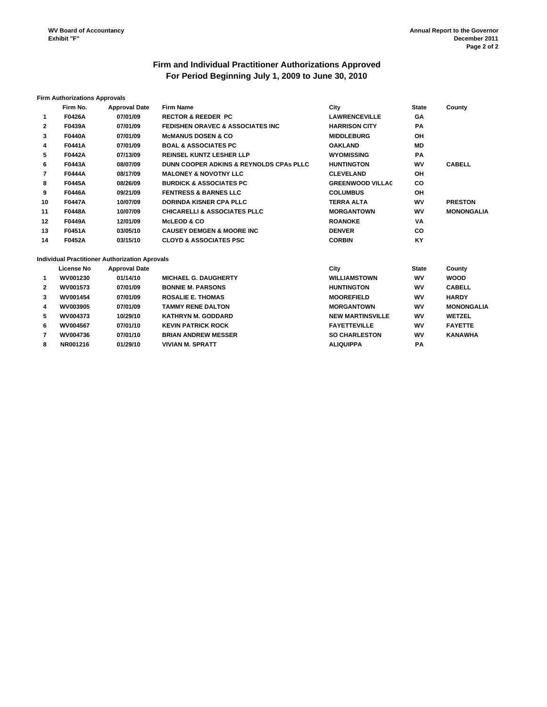## **Firm and Individual Practitioner Authorizations Approved For Period Beginning July 1, 2009 to June 30, 2010**

#### **Firm Authorizations Approvals**

|              | Firm No.      | <b>Approval Date</b>                           | <b>Firm Name</b>                                   | City                    | <b>State</b> | County            |
|--------------|---------------|------------------------------------------------|----------------------------------------------------|-------------------------|--------------|-------------------|
| 1            | <b>F0426A</b> | 07/01/09                                       | <b>RECTOR &amp; REEDER PC</b>                      | <b>LAWRENCEVILLE</b>    | GΑ           |                   |
| $\mathbf{2}$ | <b>F0439A</b> | 07/01/09                                       | <b>FEDISHEN ORAVEC &amp; ASSOCIATES INC.</b>       | <b>HARRISON CITY</b>    | РA           |                   |
| 3            | <b>F0440A</b> | 07/01/09                                       | <b>MCMANUS DOSEN &amp; CO</b>                      | <b>MIDDLEBURG</b>       | <b>OH</b>    |                   |
| 4            | F0441A        | 07/01/09                                       | <b>BOAL &amp; ASSOCIATES PC</b>                    | <b>OAKLAND</b>          | <b>MD</b>    |                   |
| 5            | <b>F0442A</b> | 07/13/09                                       | <b>REINSEL KUNTZ LESHER LLP</b>                    | <b>WYOMISSING</b>       | PA           |                   |
| 6            | F0443A        | 08/07/09                                       | <b>DUNN COOPER ADKINS &amp; REYNOLDS CPAS PLLC</b> | <b>HUNTINGTON</b>       | <b>WV</b>    | <b>CABELL</b>     |
| 7            | <b>F0444A</b> | 08/17/09                                       | <b>MALONEY &amp; NOVOTNY LLC</b>                   | <b>CLEVELAND</b>        | ΟH           |                   |
| 8            | <b>F0445A</b> | 08/26/09                                       | <b>BURDICK &amp; ASSOCIATES PC</b>                 | <b>GREENWOOD VILLAC</b> | CO.          |                   |
| 9            | <b>F0446A</b> | 09/21/09                                       | <b>FENTRESS &amp; BARNES LLC</b>                   | <b>COLUMBUS</b>         | ΟH           |                   |
| 10           | <b>F0447A</b> | 10/07/09                                       | <b>DORINDA KISNER CPA PLLC</b>                     | <b>TERRA ALTA</b>       | <b>WV</b>    | <b>PRESTON</b>    |
| 11           | <b>F0448A</b> | 10/07/09                                       | <b>CHICARELLI &amp; ASSOCIATES PLLC</b>            | <b>MORGANTOWN</b>       | <b>WV</b>    | <b>MONONGALIA</b> |
| 12           | <b>F0449A</b> | 12/01/09                                       | <b>McLEOD &amp; CO</b>                             | <b>ROANOKE</b>          | VA           |                   |
| 13           | <b>F0451A</b> | 03/05/10                                       | <b>CAUSEY DEMGEN &amp; MOORE INC.</b>              | <b>DENVER</b>           | CO.          |                   |
| 14           | F0452A        | 03/15/10                                       | <b>CLOYD &amp; ASSOCIATES PSC</b>                  | <b>CORBIN</b>           | KY           |                   |
|              |               | Individual Practitioner Authorization Aprovals |                                                    |                         |              |                   |
|              | License No    | <b>Approval Date</b>                           |                                                    | City                    | <b>State</b> | County            |

|                | License no      | <b>Approval Date</b> |                             | υw                      | olale     | vounty            |
|----------------|-----------------|----------------------|-----------------------------|-------------------------|-----------|-------------------|
| $\mathbf{1}$   | WV001230        | 01/14/10             | <b>MICHAEL G. DAUGHERTY</b> | <b>WILLIAMSTOWN</b>     | wv        | <b>WOOD</b>       |
| $\overline{2}$ | WV001573        | 07/01/09             | <b>BONNIE M. PARSONS</b>    | <b>HUNTINGTON</b>       | <b>WV</b> | <b>CABELL</b>     |
| 3              | <b>WV001454</b> | 07/01/09             | <b>ROSALIE E. THOMAS</b>    | <b>MOOREFIELD</b>       | WV        | <b>HARDY</b>      |
| 4              | WV003905        | 07/01/09             | <b>TAMMY RENE DALTON</b>    | <b>MORGANTOWN</b>       | <b>WV</b> | <b>MONONGALIA</b> |
| 5.             | <b>WV004373</b> | 10/29/10             | <b>KATHRYN M. GODDARD</b>   | <b>NEW MARTINSVILLE</b> | <b>WV</b> | <b>WETZEL</b>     |
| 6              | WV004567        | 07/01/10             | <b>KEVIN PATRICK ROCK</b>   | <b>FAYETTEVILLE</b>     | <b>WV</b> | <b>FAYETTE</b>    |
| 7              | <b>WV004736</b> | 07/01/10             | <b>BRIAN ANDREW MESSER</b>  | <b>SO CHARLESTON</b>    | wv        | <b>KANAWHA</b>    |
| 8              | NR001216        | 01/29/10             | <b>VIVIAN M. SPRATT</b>     | <b>ALIQUIPPA</b>        | <b>PA</b> |                   |
|                |                 |                      |                             |                         |           |                   |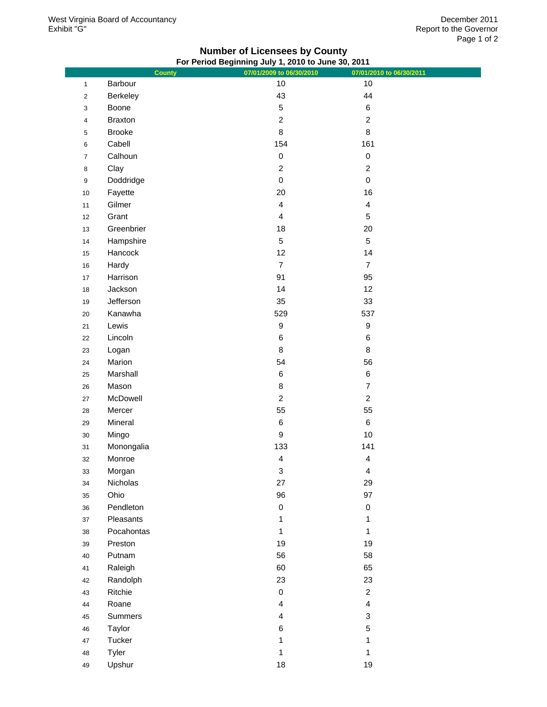## **Number of Licensees by County For Period Beginning July 1, 2010 to June 30, 2011**

|                           | <b>County</b>  | 07/01/2009 to 06/30/2010 | 07/01/2010 to 06/30/2011 |
|---------------------------|----------------|--------------------------|--------------------------|
| $\mathbf{1}$              | Barbour        | 10                       | 10                       |
| $\mathbf 2$               | Berkeley       | 43                       | 44                       |
| $\ensuremath{\mathsf{3}}$ | Boone          | $\mathbf 5$              | $\,6$                    |
| $\overline{\mathbf{4}}$   | <b>Braxton</b> | $\overline{c}$           | $\overline{c}$           |
| $\,$ 5 $\,$               | <b>Brooke</b>  | $\bf 8$                  | $\bf 8$                  |
| $\,6\,$                   | Cabell         | 154                      | 161                      |
| $\overline{7}$            | Calhoun        | $\pmb{0}$                | $\pmb{0}$                |
| $\bf 8$                   | Clay           | $\sqrt{2}$               | $\boldsymbol{2}$         |
| $\boldsymbol{9}$          | Doddridge      | $\mathbf 0$              | $\mathbf 0$              |
| $10$                      | Fayette        | 20                       | 16                       |
| 11                        | Gilmer         | $\overline{\mathbf{4}}$  | $\overline{\mathbf{4}}$  |
| 12                        | Grant          | $\overline{\mathbf{4}}$  | $\mathbf 5$              |
| 13                        | Greenbrier     | 18                       | $20\,$                   |
| $14$                      | Hampshire      | $\,$ 5 $\,$              | $\sqrt{5}$               |
| 15                        | Hancock        | 12                       | 14                       |
| $16\,$                    | Hardy          | $\overline{7}$           | $\overline{7}$           |
| $17\,$                    | Harrison       | 91                       | 95                       |
| $18$                      | Jackson        | 14                       | 12                       |
| 19                        | Jefferson      | 35                       | 33                       |
| $20\,$                    | Kanawha        | 529                      | 537                      |
| 21                        | Lewis          | $\boldsymbol{9}$         | $\boldsymbol{9}$         |
| 22                        | Lincoln        | 6                        | $\,6$                    |
| 23                        | Logan          | $\bf 8$                  | 8                        |
| 24                        | Marion         | 54                       | 56                       |
| 25                        | Marshall       | 6                        | $\,6$                    |
| 26                        | Mason          | $\,$ 8 $\,$              | $\overline{\mathcal{I}}$ |
| $27\,$                    | McDowell       | $\overline{c}$           | $\overline{c}$           |
| 28                        | Mercer         | 55                       | 55                       |
| 29                        | Mineral        | $\,6$                    | $\,6$                    |
| $30\,$                    | Mingo          | $\boldsymbol{9}$         | $10$                     |
| 31                        | Monongalia     | 133                      | 141                      |
| 32                        | Monroe         | $\overline{4}$           | $\overline{\mathbf{4}}$  |
| 33                        | Morgan         | 3                        | $\overline{4}$           |
| 34                        | Nicholas       | 27                       | 29                       |
| 35                        | Ohio           | 96                       | 97                       |
| 36                        | Pendleton      | $\pmb{0}$                | $\pmb{0}$                |
| 37                        | Pleasants      | 1                        | 1                        |
| 38                        | Pocahontas     | $\mathbf{1}$             | 1                        |
| 39                        | Preston        | 19                       | 19                       |
| 40                        | Putnam         | 56                       | 58                       |
| 41                        | Raleigh        | 60                       | 65                       |
| 42                        | Randolph       | 23                       | 23                       |
| 43                        | Ritchie        | $\pmb{0}$                | $\overline{c}$           |
| 44                        | Roane          | $\overline{4}$           | $\overline{\mathbf{4}}$  |
| 45                        | Summers        | $\overline{\mathbf{4}}$  | 3                        |
| 46                        | Taylor         | $\,6$                    | 5                        |
| 47                        | Tucker         | 1                        | 1                        |
| 48                        | Tyler          | 1                        | 1                        |
| 49                        | Upshur         | 18                       | 19                       |